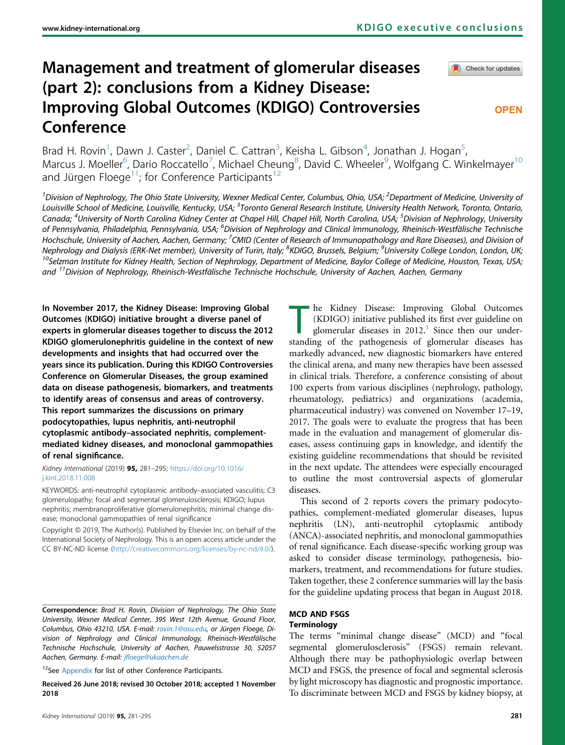# Management and treatment of glomerular diseases (part 2): conclusions from a Kidney Disease: Improving Global Outcomes (KDIGO) Controversies Conference

Check for updates

# **OPEN**

Brad H. Rovin<sup>1</sup>, Dawn J. Caster<sup>2</sup>, Daniel C. Cattran<sup>3</sup>, Keisha L. Gibson<sup>4</sup>, Jonathan J. Hogan<sup>5</sup> , Marcus J. Moeller<sup>6</sup>, Dario Roccatello<sup>7</sup>, Michael Cheung<sup>8</sup>, David C. Wheeler<sup>9</sup>, Wolfgang C. Winkelmayer<sup>10</sup> and Jürgen Floege<sup>11</sup>; for Conference Participants<sup>12</sup>

<sup>1</sup>Division of Nephrology, The Ohio State University, Wexner Medical Center, Columbus, Ohio, USA; <sup>2</sup>Department of Medicine, University of Louisville School of Medicine, Louisville, Kentucky, USA; <sup>3</sup>Toronto General Research Institute, University Health Network, Toronto, Ontario, Canada; <sup>4</sup>University of North Carolina Kidney Center at Chapel Hill, Chapel Hill, North Carolina, USA; <sup>5</sup>Division of Nephrology, University of Pennsylvania, Philadelphia, Pennsylvania, USA; <sup>6</sup>Division of Nephrology and Clinical Immunology, Rheinisch-Westfälische Technische Hochschule, University of Aachen, Aachen, Germany; <sup>7</sup>CMID (Center of Research of Immunopathology and Rare Diseases), and Division of Nephrology and Dialysis (ERK-Net member), University of Turin, Italy; <sup>8</sup>KDIGO, Brussels, Belgium; <sup>9</sup>  $^{10}$ Selzman Institute for Kidney Health, Section of Nephrology, Department of Medicine, Baylor College of Medicine, Houston, Texas, USA; and 11Division of Nephrology, Rheinisch-Westfälische Technische Hochschule, University of Aachen, Aachen, Germany

In November 2017, the Kidney Disease: Improving Global Outcomes (KDIGO) initiative brought a diverse panel of experts in glomerular diseases together to discuss the 2012 KDIGO glomerulonephritis guideline in the context of new developments and insights that had occurred over the years since its publication. During this KDIGO Controversies Conference on Glomerular Diseases, the group examined data on disease pathogenesis, biomarkers, and treatments to identify areas of consensus and areas of controversy. This report summarizes the discussions on primary podocytopathies, lupus nephritis, anti-neutrophil cytoplasmic antibody–associated nephritis, complementmediated kidney diseases, and monoclonal gammopathies of renal significance.

Kidney International (2019) 95, 281–295; [https://doi.org/10.1016/](https://doi.org/10.1016/j.kint.2018.11.008) [j.kint.2018.11.008](https://doi.org/10.1016/j.kint.2018.11.008)

KEYWORDS: anti-neutrophil cytoplasmic antibody–associated vasculitis; C3 glomerulopathy; focal and segmental glomerulosclerosis; KDIGO; lupus nephritis; membranoproliferative glomerulonephritis; minimal change disease; monoclonal gammopathies of renal significance

Copyright © 2019, The Author(s). Published by Elsevier Inc. on behalf of the International Society of Nephrology. This is an open access article under the CC BY-NC-ND license (<http://creativecommons.org/licenses/by-nc-nd/4.0/>).

Correspondence: Brad H. Rovin, Division of Nephrology, The Ohio State University, Wexner Medical Center, 395 West 12th Avenue, Ground Floor, Columbus, Ohio 43210, USA. E-mail: [rovin.1@osu.edu](mailto:rovin.1@osu.edu), or Jürgen Floege, Division of Nephrology and Clinical Immunology, Rheinisch-Westfälische Technische Hochschule, University of Aachen, Pauwelsstrasse 30, 52057 Aachen, Germany. E-mail: jfl[oege@ukaachen.de](mailto:jfloege@ukaachen.de)

<sup>12</sup>See [Appendix](#page-10-0) for list of other Conference Participants.

Received 26 June 2018; revised 30 October 2018; accepted 1 November 2018

The Kidney Disease: Improving Global Outcomes<br>(KDIGO) initiative published its first ever guideline on<br>glomerular diseases in 2012.<sup>1</sup> Since then our under-<br>standing of the pathogenesis of glomerular diseases has (KDIGO) initiative published its first ever guideline on glomerular diseases in  $2012<sup>1</sup>$  $2012<sup>1</sup>$  $2012<sup>1</sup>$  Since then our understanding of the pathogenesis of glomerular diseases has markedly advanced, new diagnostic biomarkers have entered the clinical arena, and many new therapies have been assessed in clinical trials. Therefore, a conference consisting of about 100 experts from various disciplines (nephrology, pathology, rheumatology, pediatrics) and organizations (academia, pharmaceutical industry) was convened on November 17–19, 2017. The goals were to evaluate the progress that has been made in the evaluation and management of glomerular diseases, assess continuing gaps in knowledge, and identify the existing guideline recommendations that should be revisited in the next update. The attendees were especially encouraged to outline the most controversial aspects of glomerular diseases.

This second of 2 reports covers the primary podocytopathies, complement-mediated glomerular diseases, lupus nephritis (LN), anti-neutrophil cytoplasmic antibody (ANCA)-associated nephritis, and monoclonal gammopathies of renal significance. Each disease-specific working group was asked to consider disease terminology, pathogenesis, biomarkers, treatment, and recommendations for future studies. Taken together, these 2 conference summaries will lay the basis for the guideline updating process that began in August 2018.

# MCD AND FSGS **Terminology**

The terms "minimal change disease" (MCD) and "focal segmental glomerulosclerosis" (FSGS) remain relevant. Although there may be pathophysiologic overlap between MCD and FSGS, the presence of focal and segmental sclerosis by light microscopy has diagnostic and prognostic importance. To discriminate between MCD and FSGS by kidney biopsy, at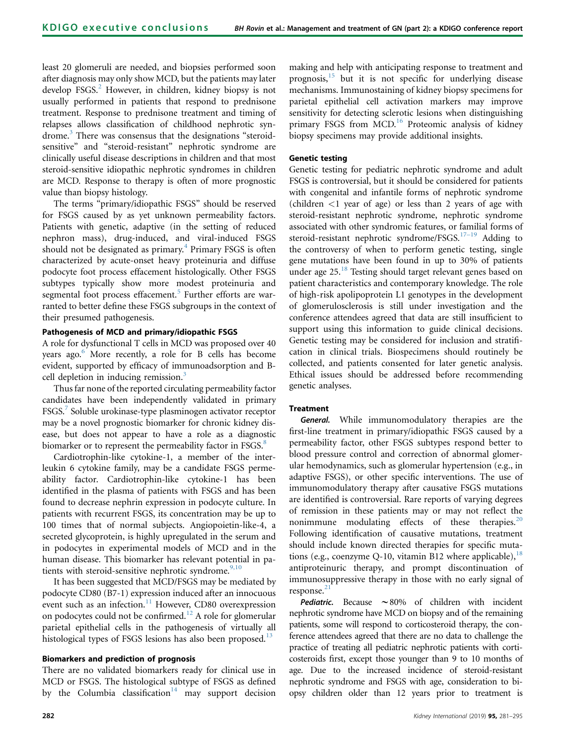least 20 glomeruli are needed, and biopsies performed soon after diagnosis may only show MCD, but the patients may later develop FSGS.<sup>[2](#page-10-0)</sup> However, in children, kidney biopsy is not usually performed in patients that respond to prednisone treatment. Response to prednisone treatment and timing of relapses allows classification of childhood nephrotic syndrome[.3](#page-10-0) There was consensus that the designations "steroidsensitive" and "steroid-resistant" nephrotic syndrome are clinically useful disease descriptions in children and that most steroid-sensitive idiopathic nephrotic syndromes in children are MCD. Response to therapy is often of more prognostic value than biopsy histology.

The terms "primary/idiopathic FSGS" should be reserved for FSGS caused by as yet unknown permeability factors. Patients with genetic, adaptive (in the setting of reduced nephron mass), drug-induced, and viral-induced FSGS should not be designated as primary.<sup>[4](#page-10-0)</sup> Primary FSGS is often characterized by acute-onset heavy proteinuria and diffuse podocyte foot process effacement histologically. Other FSGS subtypes typically show more modest proteinuria and segmental foot process effacement.<sup>[5](#page-10-0)</sup> Further efforts are warranted to better define these FSGS subgroups in the context of their presumed pathogenesis.

# Pathogenesis of MCD and primary/idiopathic FSGS

A role for dysfunctional T cells in MCD was proposed over 40 years ago.<sup>[6](#page-10-0)</sup> More recently, a role for B cells has become evident, supported by efficacy of immunoadsorption and B-cell depletion in inducing remission.<sup>[3](#page-10-0)</sup>

Thus far none of the reported circulating permeability factor candidates have been independently validated in primary FSGS.[7](#page-10-0) Soluble urokinase-type plasminogen activator receptor may be a novel prognostic biomarker for chronic kidney disease, but does not appear to have a role as a diagnostic biomarker or to represent the permeability factor in FSGS.<sup>[8](#page-10-0)</sup>

Cardiotrophin-like cytokine-1, a member of the interleukin 6 cytokine family, may be a candidate FSGS permeability factor. Cardiotrophin-like cytokine-1 has been identified in the plasma of patients with FSGS and has been found to decrease nephrin expression in podocyte culture. In patients with recurrent FSGS, its concentration may be up to 100 times that of normal subjects. Angiopoietin-like-4, a secreted glycoprotein, is highly upregulated in the serum and in podocytes in experimental models of MCD and in the human disease. This biomarker has relevant potential in patients with steroid-sensitive nephrotic syndrome. $9,10$ 

It has been suggested that MCD/FSGS may be mediated by podocyte CD80 (B7-1) expression induced after an innocuous event such as an infection.<sup>[11](#page-10-0)</sup> However, CD80 overexpression on podocytes could not be confirmed.[12](#page-10-0) A role for glomerular parietal epithelial cells in the pathogenesis of virtually all histological types of FSGS lesions has also been proposed.<sup>[13](#page-10-0)</sup>

# Biomarkers and prediction of prognosis

There are no validated biomarkers ready for clinical use in MCD or FSGS. The histological subtype of FSGS as defined by the Columbia classification<sup>[14](#page-10-0)</sup> may support decision making and help with anticipating response to treatment and prognosis, $15$  but it is not specific for underlying disease mechanisms. Immunostaining of kidney biopsy specimens for parietal epithelial cell activation markers may improve sensitivity for detecting sclerotic lesions when distinguishing primary FSGS from MCD.<sup>[16](#page-10-0)</sup> Proteomic analysis of kidney biopsy specimens may provide additional insights.

# Genetic testing

Genetic testing for pediatric nephrotic syndrome and adult FSGS is controversial, but it should be considered for patients with congenital and infantile forms of nephrotic syndrome (children <1 year of age) or less than 2 years of age with steroid-resistant nephrotic syndrome, nephrotic syndrome associated with other syndromic features, or familial forms of steroid-resistant nephrotic syndrome/FSGS.<sup>17-[19](#page-11-0)</sup> Adding to the controversy of when to perform genetic testing, single gene mutations have been found in up to 30% of patients under age 25.<sup>[18](#page-11-0)</sup> Testing should target relevant genes based on patient characteristics and contemporary knowledge. The role of high-risk apolipoprotein L1 genotypes in the development of glomerulosclerosis is still under investigation and the conference attendees agreed that data are still insufficient to support using this information to guide clinical decisions. Genetic testing may be considered for inclusion and stratification in clinical trials. Biospecimens should routinely be collected, and patients consented for later genetic analysis. Ethical issues should be addressed before recommending genetic analyses.

# Treatment

General. While immunomodulatory therapies are the first-line treatment in primary/idiopathic FSGS caused by a permeability factor, other FSGS subtypes respond better to blood pressure control and correction of abnormal glomerular hemodynamics, such as glomerular hypertension (e.g., in adaptive FSGS), or other specific interventions. The use of immunomodulatory therapy after causative FSGS mutations are identified is controversial. Rare reports of varying degrees of remission in these patients may or may not reflect the nonimmune modulating effects of these therapies.<sup>[20](#page-11-0)</sup> Following identification of causative mutations, treatment should include known directed therapies for specific mutations (e.g., coenzyme Q-10, vitamin B12 where applicable),  $^{18}$  $^{18}$  $^{18}$ antiproteinuric therapy, and prompt discontinuation of immunosuppressive therapy in those with no early signal of response.<sup>[21](#page-11-0)</sup>

**Pediatric.** Because  $\sim 80\%$  of children with incident nephrotic syndrome have MCD on biopsy and of the remaining patients, some will respond to corticosteroid therapy, the conference attendees agreed that there are no data to challenge the practice of treating all pediatric nephrotic patients with corticosteroids first, except those younger than 9 to 10 months of age. Due to the increased incidence of steroid-resistant nephrotic syndrome and FSGS with age, consideration to biopsy children older than 12 years prior to treatment is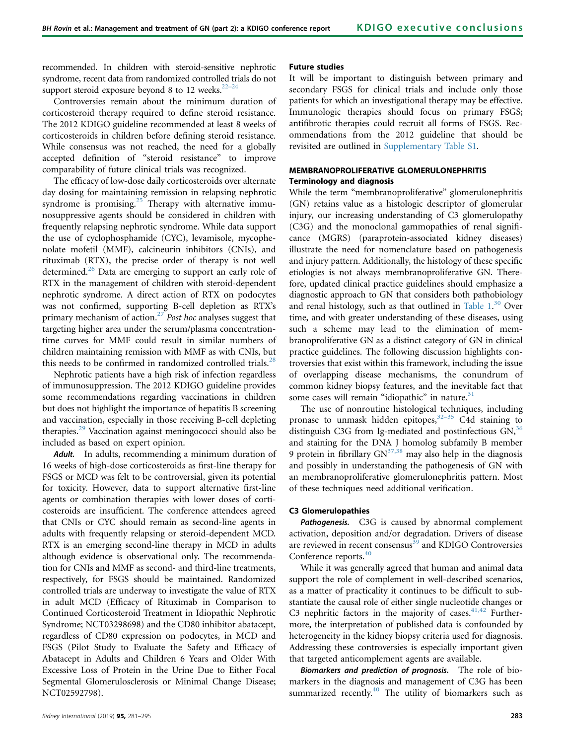recommended. In children with steroid-sensitive nephrotic syndrome, recent data from randomized controlled trials do not support steroid exposure beyond 8 to 12 weeks. $22-24$ 

Controversies remain about the minimum duration of corticosteroid therapy required to define steroid resistance. The 2012 KDIGO guideline recommended at least 8 weeks of corticosteroids in children before defining steroid resistance. While consensus was not reached, the need for a globally accepted definition of "steroid resistance" to improve comparability of future clinical trials was recognized.

The efficacy of low-dose daily corticosteroids over alternate day dosing for maintaining remission in relapsing nephrotic syndrome is promising.<sup>[25](#page-11-0)</sup> Therapy with alternative immunosuppressive agents should be considered in children with frequently relapsing nephrotic syndrome. While data support the use of cyclophosphamide (CYC), levamisole, mycophenolate mofetil (MMF), calcineurin inhibitors (CNIs), and rituximab (RTX), the precise order of therapy is not well determined.<sup>[26](#page-11-0)</sup> Data are emerging to support an early role of RTX in the management of children with steroid-dependent nephrotic syndrome. A direct action of RTX on podocytes was not confirmed, supporting B-cell depletion as RTX's primary mechanism of action.<sup>[27](#page-11-0)</sup> Post hoc analyses suggest that targeting higher area under the serum/plasma concentrationtime curves for MMF could result in similar numbers of children maintaining remission with MMF as with CNIs, but this needs to be confirmed in randomized controlled trials. $^{28}$  $^{28}$  $^{28}$ 

Nephrotic patients have a high risk of infection regardless of immunosuppression. The 2012 KDIGO guideline provides some recommendations regarding vaccinations in children but does not highlight the importance of hepatitis B screening and vaccination, especially in those receiving B-cell depleting therapies.[29](#page-11-0) Vaccination against meningococci should also be included as based on expert opinion.

Adult. In adults, recommending a minimum duration of 16 weeks of high-dose corticosteroids as first-line therapy for FSGS or MCD was felt to be controversial, given its potential for toxicity. However, data to support alternative first-line agents or combination therapies with lower doses of corticosteroids are insufficient. The conference attendees agreed that CNIs or CYC should remain as second-line agents in adults with frequently relapsing or steroid-dependent MCD. RTX is an emerging second-line therapy in MCD in adults although evidence is observational only. The recommendation for CNIs and MMF as second- and third-line treatments, respectively, for FSGS should be maintained. Randomized controlled trials are underway to investigate the value of RTX in adult MCD (Efficacy of Rituximab in Comparison to Continued Corticosteroid Treatment in Idiopathic Nephrotic Syndrome; NCT03298698) and the CD80 inhibitor abatacept, regardless of CD80 expression on podocytes, in MCD and FSGS (Pilot Study to Evaluate the Safety and Efficacy of Abatacept in Adults and Children 6 Years and Older With Excessive Loss of Protein in the Urine Due to Either Focal Segmental Glomerulosclerosis or Minimal Change Disease; NCT02592798).

### Kidney International (2019) **95,** 281–295 283

# Future studies

It will be important to distinguish between primary and secondary FSGS for clinical trials and include only those patients for which an investigational therapy may be effective. Immunologic therapies should focus on primary FSGS; antifibrotic therapies could recruit all forms of FSGS. Recommendations from the 2012 guideline that should be revisited are outlined in [Supplementary Table S1](#page-10-0).

# MEMBRANOPROLIFERATIVE GLOMERULONEPHRITIS Terminology and diagnosis

While the term "membranoproliferative" glomerulonephritis (GN) retains value as a histologic descriptor of glomerular injury, our increasing understanding of C3 glomerulopathy (C3G) and the monoclonal gammopathies of renal significance (MGRS) (paraprotein-associated kidney diseases) illustrate the need for nomenclature based on pathogenesis and injury pattern. Additionally, the histology of these specific etiologies is not always membranoproliferative GN. Therefore, updated clinical practice guidelines should emphasize a diagnostic approach to GN that considers both pathobiology and renal histology, such as that outlined in [Table 1.](#page-3-0)<sup>[30](#page-11-0)</sup> Over time, and with greater understanding of these diseases, using such a scheme may lead to the elimination of membranoproliferative GN as a distinct category of GN in clinical practice guidelines. The following discussion highlights controversies that exist within this framework, including the issue of overlapping disease mechanisms, the conundrum of common kidney biopsy features, and the inevitable fact that some cases will remain "idiopathic" in nature. $31$ 

The use of nonroutine histological techniques, including pronase to unmask hidden epitopes,<sup>[32](#page-11-0)–35</sup> C4d staining to distinguish C3G from Ig-mediated and postinfectious  $GN<sub>1</sub><sup>36</sup>$  $GN<sub>1</sub><sup>36</sup>$  $GN<sub>1</sub><sup>36</sup>$ and staining for the DNA J homolog subfamily B member 9 protein in fibrillary  $GN^{37,38}$  $GN^{37,38}$  $GN^{37,38}$  may also help in the diagnosis and possibly in understanding the pathogenesis of GN with an membranoproliferative glomerulonephritis pattern. Most of these techniques need additional verification.

### C3 Glomerulopathies

Pathogenesis. C3G is caused by abnormal complement activation, deposition and/or degradation. Drivers of disease are reviewed in recent consensus<sup>[39](#page-11-0)</sup> and KDIGO Controversies Conference reports.<sup>40</sup>

While it was generally agreed that human and animal data support the role of complement in well-described scenarios, as a matter of practicality it continues to be difficult to substantiate the causal role of either single nucleotide changes or C3 nephritic factors in the majority of cases. $41,42$  Furthermore, the interpretation of published data is confounded by heterogeneity in the kidney biopsy criteria used for diagnosis. Addressing these controversies is especially important given that targeted anticomplement agents are available.

Biomarkers and prediction of prognosis. The role of biomarkers in the diagnosis and management of C3G has been summarized recently. $40$  The utility of biomarkers such as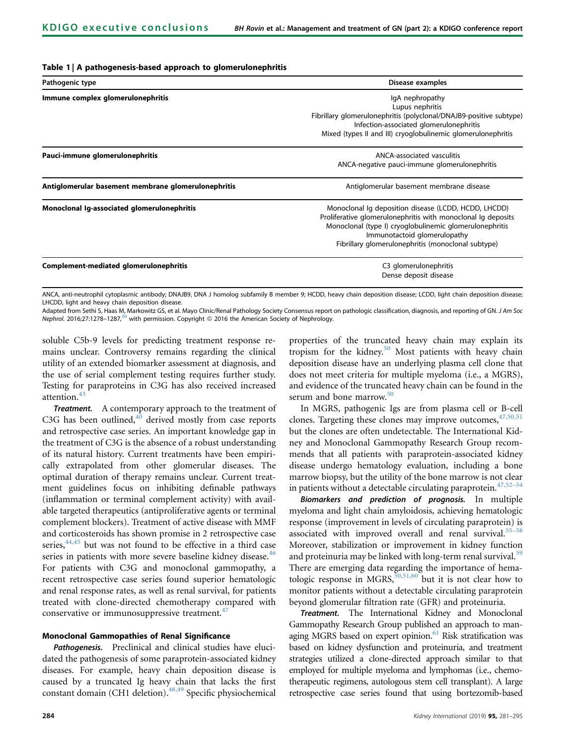# <span id="page-3-0"></span>Table 1 | A pathogenesis-based approach to glomerulonephritis

| Pathogenic type                                     | Disease examples                                                                                                                                                                                                                                                      |
|-----------------------------------------------------|-----------------------------------------------------------------------------------------------------------------------------------------------------------------------------------------------------------------------------------------------------------------------|
| Immune complex glomerulonephritis                   | IgA nephropathy<br>Lupus nephritis<br>Fibrillary glomerulonephritis (polyclonal/DNAJB9-positive subtype)<br>Infection-associated glomerulonephritis<br>Mixed (types II and III) cryoglobulinemic glomerulonephritis                                                   |
| Pauci-immune glomerulonephritis                     | ANCA-associated vasculitis<br>ANCA-negative pauci-immune glomerulonephritis                                                                                                                                                                                           |
| Antiglomerular basement membrane glomerulonephritis | Antiglomerular basement membrane disease                                                                                                                                                                                                                              |
| Monoclonal Ig-associated glomerulonephritis         | Monoclonal Iq deposition disease (LCDD, HCDD, LHCDD)<br>Proliferative glomerulonephritis with monoclonal Ig deposits<br>Monoclonal (type I) cryoglobulinemic glomerulonephritis<br>Immunotactoid glomerulopathy<br>Fibrillary glomerulonephritis (monoclonal subtype) |
| Complement-mediated glomerulonephritis              | C3 glomerulonephritis<br>Dense deposit disease                                                                                                                                                                                                                        |

ANCA, anti-neutrophil cytoplasmic antibody; DNAJB9, DNA J homolog subfamily B member 9; HCDD, heavy chain deposition disease; LCDD, light chain deposition disease; LHCDD, light and heavy chain deposition disease.

Adapted from Sethi S, Haas M, Markowitz GS, et al. Mayo Clinic/Renal Pathology Society Consensus report on pathologic classification, diagnosis, and reporting of GN. J Am Soc Nephrol. 2016;27:1278-1287,<sup>[30](#page-11-0)</sup> with permission. Copyright © 2016 the American Society of Nephrology.

soluble C5b-9 levels for predicting treatment response remains unclear. Controversy remains regarding the clinical utility of an extended biomarker assessment at diagnosis, and the use of serial complement testing requires further study. Testing for paraproteins in C3G has also received increased attention.<sup>[43](#page-11-0)</sup>

Treatment. A contemporary approach to the treatment of C3G has been outlined, $40$  derived mostly from case reports and retrospective case series. An important knowledge gap in the treatment of C3G is the absence of a robust understanding of its natural history. Current treatments have been empirically extrapolated from other glomerular diseases. The optimal duration of therapy remains unclear. Current treatment guidelines focus on inhibiting definable pathways (inflammation or terminal complement activity) with available targeted therapeutics (antiproliferative agents or terminal complement blockers). Treatment of active disease with MMF and corticosteroids has shown promise in 2 retrospective case series, $44,45$  but was not found to be effective in a third case series in patients with more severe baseline kidney disease.<sup>[46](#page-11-0)</sup> For patients with C3G and monoclonal gammopathy, a recent retrospective case series found superior hematologic and renal response rates, as well as renal survival, for patients treated with clone-directed chemotherapy compared with conservative or immunosuppressive treatment.<sup>[47](#page-11-0)</sup>

# Monoclonal Gammopathies of Renal Significance

Pathogenesis. Preclinical and clinical studies have elucidated the pathogenesis of some paraprotein-associated kidney diseases. For example, heavy chain deposition disease is caused by a truncated Ig heavy chain that lacks the first constant domain (CH1 deletion).<sup>[48,49](#page-11-0)</sup> Specific physiochemical</sup> properties of the truncated heavy chain may explain its tropism for the kidney.<sup>[50](#page-11-0)</sup> Most patients with heavy chain deposition disease have an underlying plasma cell clone that does not meet criteria for multiple myeloma (i.e., a MGRS), and evidence of the truncated heavy chain can be found in the serum and bone marrow.<sup>[50](#page-11-0)</sup>

In MGRS, pathogenic Igs are from plasma cell or B-cell clones. Targeting these clones may improve outcomes,  $47,50,51$ but the clones are often undetectable. The International Kidney and Monoclonal Gammopathy Research Group recommends that all patients with paraprotein-associated kidney disease undergo hematology evaluation, including a bone marrow biopsy, but the utility of the bone marrow is not clear in patients without a detectable circulating paraprotein.<sup>[47,52](#page-11-0)–54</sup>

Biomarkers and prediction of prognosis. In multiple myeloma and light chain amyloidosis, achieving hematologic response (improvement in levels of circulating paraprotein) is associated with improved overall and renal survival.<sup>[55](#page-11-0)–58</sup> Moreover, stabilization or improvement in kidney function and proteinuria may be linked with long-term renal survival.<sup>[59](#page-11-0)</sup> There are emerging data regarding the importance of hematologic response in MGRS,  $50,51,60$  but it is not clear how to monitor patients without a detectable circulating paraprotein beyond glomerular filtration rate (GFR) and proteinuria.

Treatment. The International Kidney and Monoclonal Gammopathy Research Group published an approach to man-aging MGRS based on expert opinion.<sup>[61](#page-11-0)</sup> Risk stratification was based on kidney dysfunction and proteinuria, and treatment strategies utilized a clone-directed approach similar to that employed for multiple myeloma and lymphomas (i.e., chemotherapeutic regimens, autologous stem cell transplant). A large retrospective case series found that using bortezomib-based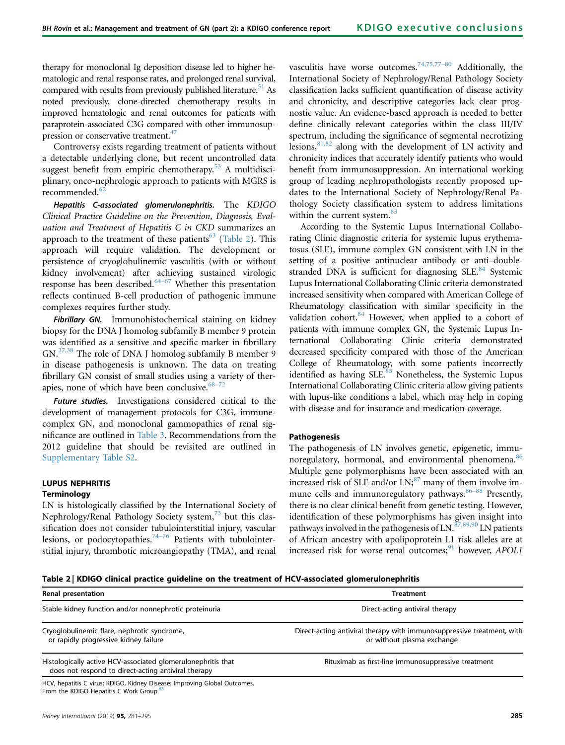therapy for monoclonal Ig deposition disease led to higher hematologic and renal response rates, and prolonged renal survival, compared with results from previously published literature.<sup>51</sup> As noted previously, clone-directed chemotherapy results in improved hematologic and renal outcomes for patients with paraprotein-associated C3G compared with other immunosuppression or conservative treatment.<sup>47</sup>

Controversy exists regarding treatment of patients without a detectable underlying clone, but recent uncontrolled data suggest benefit from empiric chemotherapy. $53$  A multidisciplinary, onco-nephrologic approach to patients with MGRS is recommended.<sup>[62](#page-11-0)</sup>

Hepatitis C-associated glomerulonephritis. The KDIGO Clinical Practice Guideline on the Prevention, Diagnosis, Evaluation and Treatment of Hepatitis C in CKD summarizes an approach to the treatment of these patients<sup>[63](#page-11-0)</sup> (Table 2). This approach will require validation. The development or persistence of cryoglobulinemic vasculitis (with or without kidney involvement) after achieving sustained virologic response has been described.<sup>[64](#page-12-0)-67</sup> Whether this presentation reflects continued B-cell production of pathogenic immune complexes requires further study.

Fibrillary GN. Immunohistochemical staining on kidney biopsy for the DNA J homolog subfamily B member 9 protein was identified as a sensitive and specific marker in fibrillary GN.[37,38](#page-11-0) The role of DNA J homolog subfamily B member 9 in disease pathogenesis is unknown. The data on treating fibrillary GN consist of small studies using a variety of therapies, none of which have been conclusive.  $68-72$  $68-72$ 

Future studies. Investigations considered critical to the development of management protocols for C3G, immunecomplex GN, and monoclonal gammopathies of renal significance are outlined in [Table 3.](#page-5-0) Recommendations from the 2012 guideline that should be revisited are outlined in [Supplementary Table S2.](#page-10-0)

# LUPUS NEPHRITIS

### **Terminology**

LN is histologically classified by the International Society of Nephrology/Renal Pathology Society system,<sup>[73](#page-12-0)</sup> but this classification does not consider tubulointerstitial injury, vascular lesions, or podocytopathies.<sup>[74](#page-12-0)–76</sup> Patients with tubulointerstitial injury, thrombotic microangiopathy (TMA), and renal vasculitis have worse outcomes.<sup>[74,75,77](#page-12-0)–80</sup> Additionally, the International Society of Nephrology/Renal Pathology Society classification lacks sufficient quantification of disease activity and chronicity, and descriptive categories lack clear prognostic value. An evidence-based approach is needed to better define clinically relevant categories within the class III/IV spectrum, including the significance of segmental necrotizing lesions,  $81,82$  along with the development of LN activity and chronicity indices that accurately identify patients who would benefit from immunosuppression. An international working group of leading nephropathologists recently proposed updates to the International Society of Nephrology/Renal Pathology Society classification system to address limitations within the current system.<sup>[83](#page-12-0)</sup>

According to the Systemic Lupus International Collaborating Clinic diagnostic criteria for systemic lupus erythematosus (SLE), immune complex GN consistent with LN in the setting of a positive antinuclear antibody or anti–doublestranded DNA is sufficient for diagnosing SLE. $84$  Systemic Lupus International Collaborating Clinic criteria demonstrated increased sensitivity when compared with American College of Rheumatology classification with similar specificity in the validation cohort.<sup>84</sup> However, when applied to a cohort of patients with immune complex GN, the Systemic Lupus International Collaborating Clinic criteria demonstrated decreased specificity compared with those of the American College of Rheumatology, with some patients incorrectly identified as having  $SLE$ <sup>85</sup> Nonetheless, the Systemic Lupus International Collaborating Clinic criteria allow giving patients with lupus-like conditions a label, which may help in coping with disease and for insurance and medication coverage.

### Pathogenesis

The pathogenesis of LN involves genetic, epigenetic, immu-noregulatory, hormonal, and environmental phenomena.<sup>[86](#page-12-0)</sup> Multiple gene polymorphisms have been associated with an increased risk of SLE and/or  $LN<sub>1</sub><sup>87</sup>$  $LN<sub>1</sub><sup>87</sup>$  $LN<sub>1</sub><sup>87</sup>$  many of th[em in](#page-12-0)volve immune cells and immunoregulatory pathways.<sup>86–88</sup> Presently, there is no clear clinical benefit from genetic testing. However, identification of these polymorphisms has given insight into pathways involved in the pathogenesis of LN. $^{87,89,90}$  $^{87,89,90}$  $^{87,89,90}$  LN patients of African ancestry with apolipoprotein L1 risk alleles are at increased risk for worse renal outcomes; $91$  however, APOL1

Table 2 | KDIGO clinical practice guideline on the treatment of HCV-associated glomerulonephritis

| Renal presentation                                                                                                  | Treatment                                                                                            |
|---------------------------------------------------------------------------------------------------------------------|------------------------------------------------------------------------------------------------------|
| Stable kidney function and/or nonnephrotic proteinuria                                                              | Direct-acting antiviral therapy                                                                      |
| Cryoglobulinemic flare, nephrotic syndrome,<br>or rapidly progressive kidney failure                                | Direct-acting antiviral therapy with immunosuppressive treatment, with<br>or without plasma exchange |
| Histologically active HCV-associated glomerulonephritis that<br>does not respond to direct-acting antiviral therapy | Rituximab as first-line immunosuppressive treatment                                                  |
| HCV hepatitis C virus: KDIGO Kidney Disease: Improving Global Outcomes                                              |                                                                                                      |

Improving G From the KDIGO Hepatitis C Work Group.<sup>[63](#page-11-0)</sup>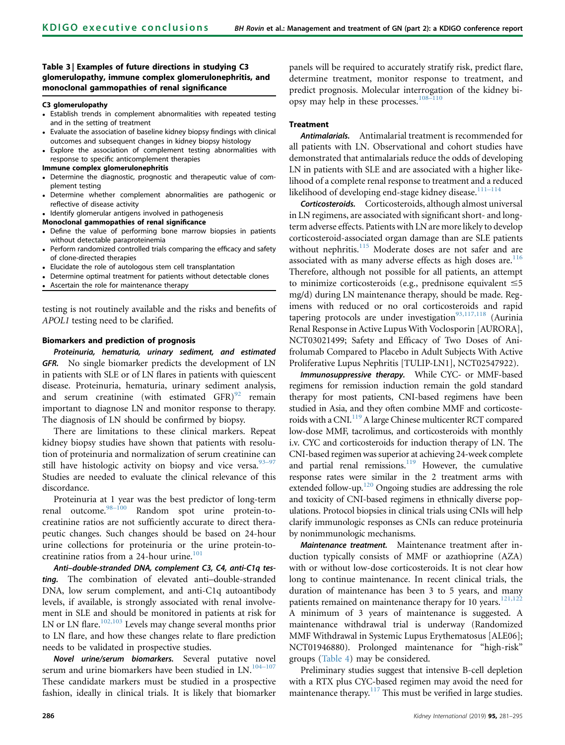# <span id="page-5-0"></span>Table 3 | Examples of future directions in studying C3 glomerulopathy, immune complex glomerulonephritis, and monoclonal gammopathies of renal significance

### C3 glomerulopathy

- Establish trends in complement abnormalities with repeated testing and in the setting of treatment
- Evaluate the association of baseline kidney biopsy findings with clinical outcomes and subsequent changes in kidney biopsy histology
- Explore the association of complement testing abnormalities with response to specific anticomplement therapies

### Immune complex glomerulonephritis

- Determine the diagnostic, prognostic and therapeutic value of complement testing
- Determine whether complement abnormalities are pathogenic or reflective of disease activity
- Identify glomerular antigens involved in pathogenesis

### Monoclonal gammopathies of renal significance

- Define the value of performing bone marrow biopsies in patients without detectable paraproteinemia
- Perform randomized controlled trials comparing the efficacy and safety of clone-directed therapies
- Elucidate the role of autologous stem cell transplantation
- Determine optimal treatment for patients without detectable clones
- Ascertain the role for maintenance therapy

testing is not routinely available and the risks and benefits of APOL1 testing need to be clarified.

### Biomarkers and prediction of prognosis

Proteinuria, hematuria, urinary sediment, and estimated GFR. No single biomarker predicts the development of LN in patients with SLE or of LN flares in patients with quiescent disease. Proteinuria, hematuria, urinary sediment analysis, and serum creatinine (with estimated  $GFR$ )<sup>[92](#page-12-0)</sup> remain important to diagnose LN and monitor response to therapy. The diagnosis of LN should be confirmed by biopsy.

There are limitations to these clinical markers. Repeat kidney biopsy studies have shown that patients with resolution of proteinuria and normalization of serum creatinine can still have histologic activity on biopsy and vice versa.  $93-97$  $93-97$ Studies are needed to evaluate the clinical relevance of this discordance.

Proteinuria at 1 year was the best predictor of long-term renal outcome.98–[100](#page-12-0) Random spot urine protein-tocreatinine ratios are not sufficiently accurate to direct therapeutic changes. Such changes should be based on 24-hour urine collections for proteinuria or the urine protein-to-creatinine ratios from a 24-hour urine.<sup>[101](#page-12-0)</sup>

Anti–double-stranded DNA, complement C3, C4, anti-C1q testing. The combination of elevated anti–double-stranded DNA, low serum complement, and anti-C1q autoantibody levels, if available, is strongly associated with renal involvement in SLE and should be monitored in patients at risk for LN or LN flare.<sup>[102,103](#page-12-0)</sup> Levels may change several months prior to LN flare, and how these changes relate to flare prediction needs to be validated in prospective studies.

Novel urine/serum biomarkers. Several putative novel serum and urine biomarkers have been studied in LN.<sup>104-[107](#page-12-0)</sup> These candidate markers must be studied in a prospective fashion, ideally in clinical trials. It is likely that biomarker panels will be required to accurately stratify risk, predict flare, determine treatment, monitor response to treatment, and predict prognosis. Molecular interrogation of the kidney bi-opsy may help in these processes.<sup>[108](#page-12-0)-110</sup>

# Treatment

Antimalarials. Antimalarial treatment is recommended for all patients with LN. Observational and cohort studies have demonstrated that antimalarials reduce the odds of developing LN in patients with SLE and are associated with a higher likelihood of a complete renal response to treatment and a reduced likelihood of developing end-stage kidney disease.<sup>111-[114](#page-12-0)</sup>

Corticosteroids. Corticosteroids, although almost universal in LN regimens, are associated with significant short- and longterm adverse effects. Patients with LN are more likely to develop corticosteroid-associated organ damage than are SLE patients without nephritis.<sup>[115](#page-13-0)</sup> Moderate doses are not safer and are associated with as many adverse effects as high doses are. $116$ Therefore, although not possible for all patients, an attempt to minimize corticosteroids (e.g., prednisone equivalent  $\leq 5$ mg/d) during LN maintenance therapy, should be made. Regimens with reduced or no oral corticosteroids and rapid tapering protocols are under investigation $93,117,118$  (Aurinia Renal Response in Active Lupus With Voclosporin [AURORA], NCT03021499; Safety and Efficacy of Two Doses of Anifrolumab Compared to Placebo in Adult Subjects With Active Proliferative Lupus Nephritis [TULIP-LN1], NCT02547922).

Immunosuppressive therapy. While CYC- or MMF-based regimens for remission induction remain the gold standard therapy for most patients, CNI-based regimens have been studied in Asia, and they often combine MMF and corticoste-roids with a CNI.<sup>[119](#page-13-0)</sup> A large Chinese multicenter RCT compared low-dose MMF, tacrolimus, and corticosteroids with monthly i.v. CYC and corticosteroids for induction therapy of LN. The CNI-based regimen was superior at achieving 24-week complete and partial renal remissions. $119$  However, the cumulative response rates were similar in the 2 treatment arms with extended follow-up.<sup>120</sup> Ongoing studies are addressing the role and toxicity of CNI-based regimens in ethnically diverse populations. Protocol biopsies in clinical trials using CNIs will help clarify immunologic responses as CNIs can reduce proteinuria by nonimmunologic mechanisms.

Maintenance treatment. Maintenance treatment after induction typically consists of MMF or azathioprine (AZA) with or without low-dose corticosteroids. It is not clear how long to continue maintenance. In recent clinical trials, the duration of maintenance has been 3 to 5 years, and many patients remained on maintenance therapy for 10 years.<sup>121,122</sup> A minimum of 3 years of maintenance is suggested. A maintenance withdrawal trial is underway (Randomized MMF Withdrawal in Systemic Lupus Erythematosus [ALE06]; NCT01946880). Prolonged maintenance for "high-risk" groups [\(Table 4\)](#page-6-0) may be considered.

Preliminary studies suggest that intensive B-cell depletion with a RTX plus CYC-based regimen may avoid the need for maintenance therapy.<sup>[117](#page-13-0)</sup> This must be verified in large studies.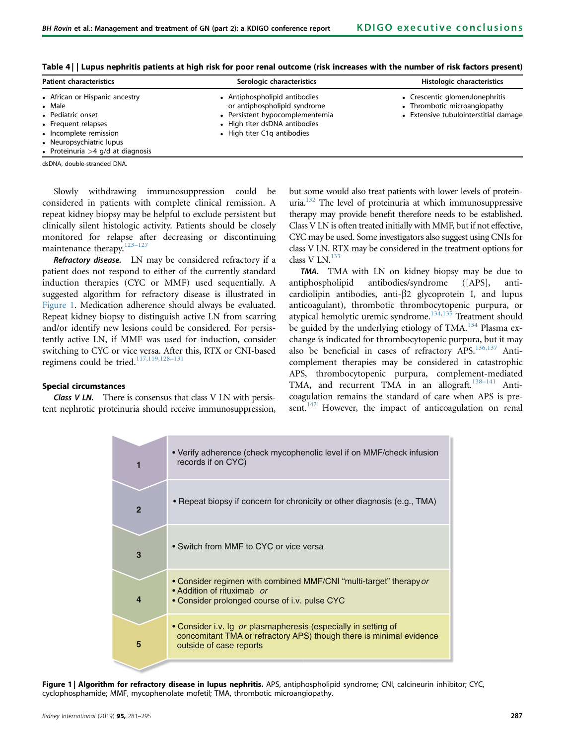| <b>Patient characteristics</b>                                                                                                                                                    | Serologic characteristics                                                                                                                                        | Histologic characteristics                                                                               |
|-----------------------------------------------------------------------------------------------------------------------------------------------------------------------------------|------------------------------------------------------------------------------------------------------------------------------------------------------------------|----------------------------------------------------------------------------------------------------------|
| • African or Hispanic ancestry<br>• Male<br>• Pediatric onset<br>• Frequent relapses<br>• Incomplete remission<br>• Neuropsychiatric lupus<br>• Proteinuria $>4$ g/d at diagnosis | • Antiphospholipid antibodies<br>or antiphospholipid syndrome<br>• Persistent hypocomplementemia<br>• High titer dsDNA antibodies<br>• High titer C1g antibodies | • Crescentic glomerulonephritis<br>• Thrombotic microangiopathy<br>• Extensive tubulointerstitial damage |

<span id="page-6-0"></span>Table 4 | | Lupus nephritis patients at high risk for poor renal outcome (risk increases with the number of risk factors present)

dsDNA, double-stranded DNA.

Slowly withdrawing immunosuppression could be considered in patients with complete clinical remission. A repeat kidney biopsy may be helpful to exclude persistent but clinically silent histologic activity. Patients should be closely monitored for relapse after decreasing or discontinuing maintenance therapy.<sup>123-[127](#page-13-0)</sup>

Refractory disease. LN may be considered refractory if a patient does not respond to either of the currently standard induction therapies (CYC or MMF) used sequentially. A suggested algorithm for refractory disease is illustrated in Figure 1. Medication adherence should always be evaluated. Repeat kidney biopsy to distinguish active LN from scarring and/or identify new lesions could be considered. For persistently active LN, if MMF was used for induction, consider switching to CYC or vice versa. After this, RTX or CNI-based regimens could be tried.<sup>[117,119,128](#page-13-0)-131</sup>

# but some would also treat patients with lower levels of proteinuria[.132](#page-13-0) The level of proteinuria at which immunosuppressive therapy may provide benefit therefore needs to be established. Class V LN is often treated initially with MMF, but if not effective, CYC may be used. Some investigators also suggest using CNIs for class V LN. RTX may be considered in the treatment options for class V LN. $^{133}$  $^{133}$  $^{133}$

TMA. TMA with LN on kidney biopsy may be due to antiphospholipid antibodies/syndrome ([APS], anticardiolipin antibodies, anti- $\beta$ 2 glycoprotein I, and lupus anticoagulant), thrombotic thrombocytopenic purpura, or atypical hemolytic uremic syndrome. $134,135$  Treatment should be guided by the underlying etiology of  $TMA$ <sup>[134](#page-13-0)</sup> Plasma exchange is indicated for thrombocytopenic purpura, but it may also be beneficial in cases of refractory APS.<sup>[136,137](#page-13-0)</sup> Anticomplement therapies may be considered in catastrophic APS, thrombocytopenic purpura, complement-mediated TMA, and recurrent TMA in an allograft.<sup>[138](#page-13-0)-141</sup> Anticoagulation remains the standard of care when APS is pre-sent.<sup>[142](#page-13-0)</sup> However, the impact of anticoagulation on renal

# Special circumstances

Class V LN. There is consensus that class V LN with persistent nephrotic proteinuria should receive immunosuppression,



Figure 1 | Algorithm for refractory disease in lupus nephritis. APS, antiphospholipid syndrome; CNI, calcineurin inhibitor; CYC, cyclophosphamide; MMF, mycophenolate mofetil; TMA, thrombotic microangiopathy.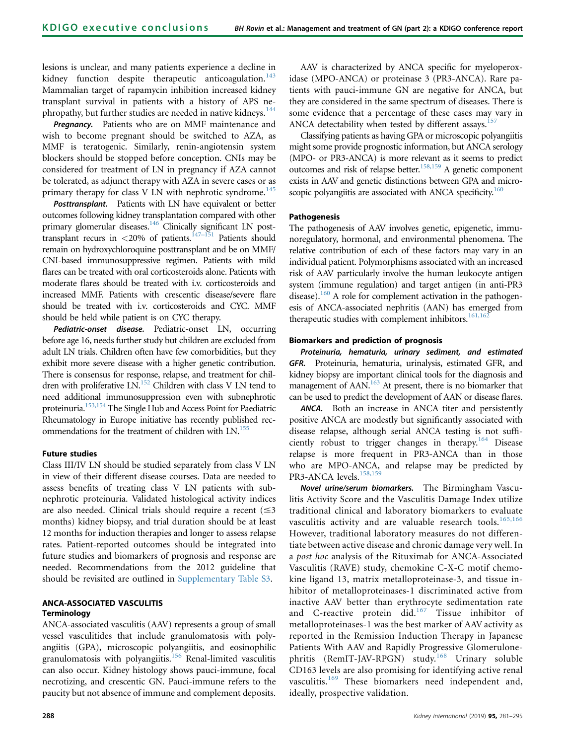lesions is unclear, and many patients experience a decline in kidney function despite therapeutic anticoagulation.<sup>[143](#page-13-0)</sup> Mammalian target of rapamycin inhibition increased kidney transplant survival in patients with a history of APS ne-phropathy, but further studies are needed in native kidneys.<sup>[144](#page-13-0)</sup>

Pregnancy. Patients who are on MMF maintenance and wish to become pregnant should be switched to AZA, as MMF is teratogenic. Similarly, renin-angiotensin system blockers should be stopped before conception. CNIs may be considered for treatment of LN in pregnancy if AZA cannot be tolerated, as adjunct therapy with AZA in severe cases or as primary therapy for class V LN with nephrotic syndrome.<sup>[145](#page-13-0)</sup>

Posttransplant. Patients with LN have equivalent or better outcomes following kidney transplantation compared with other primary glomerular diseases.<sup>146</sup> Clinically significant LN posttransplant recurs in  $\langle 20\%$  of patients.<sup>147–151</sup> Patients should remain on hydroxychloroquine posttransplant and be on MMF/ CNI-based immunosuppressive regimen. Patients with mild flares can be treated with oral corticosteroids alone. Patients with moderate flares should be treated with i.v. corticosteroids and increased MMF. Patients with crescentic disease/severe flare should be treated with i.v. corticosteroids and CYC. MMF should be held while patient is on CYC therapy.

Pediatric-onset disease. Pediatric-onset LN, occurring before age 16, needs further study but children are excluded from adult LN trials. Children often have few comorbidities, but they exhibit more severe disease with a higher genetic contribution. There is consensus for response, relapse, and treatment for chil-dren with proliferative LN.<sup>[152](#page-13-0)</sup> Children with class V LN tend to need additional immunosuppression even with subnephrotic proteinuria[.153,154](#page-13-0) The Single Hub and Access Point for Paediatric Rheumatology in Europe initiative has recently published rec-ommendations for the treatment of children with LN.<sup>[155](#page-13-0)</sup>

### Future studies

Class III/IV LN should be studied separately from class V LN in view of their different disease courses. Data are needed to assess benefits of treating class V LN patients with subnephrotic proteinuria. Validated histological activity indices are also needed. Clinical trials should require a recent  $(\leq 3)$ months) kidney biopsy, and trial duration should be at least 12 months for induction therapies and longer to assess relapse rates. Patient-reported outcomes should be integrated into future studies and biomarkers of prognosis and response are needed. Recommendations from the 2012 guideline that should be revisited are outlined in [Supplementary Table S3](#page-10-0).

# ANCA-ASSOCIATED VASCULITIS **Terminology**

ANCA-associated vasculitis (AAV) represents a group of small vessel vasculitides that include granulomatosis with polyangiitis (GPA), microscopic polyangiitis, and eosinophilic granulomatosis with polyangiitis.<sup>[156](#page-13-0)</sup> Renal-limited vasculitis can also occur. Kidney histology shows pauci-immune, focal necrotizing, and crescentic GN. Pauci-immune refers to the paucity but not absence of immune and complement deposits.

AAV is characterized by ANCA specific for myeloperoxidase (MPO-ANCA) or proteinase 3 (PR3-ANCA). Rare patients with pauci-immune GN are negative for ANCA, but they are considered in the same spectrum of diseases. There is some evidence that a percentage of these cases may vary in ANCA detectability when tested by different assays.<sup>157</sup>

Classifying patients as having GPA or microscopic polyangiitis might some provide prognostic information, but ANCA serology (MPO- or PR3-ANCA) is more relevant as it seems to predict outcomes and risk of relapse better.<sup>[158,159](#page-13-0)</sup> A genetic component exists in AAV and genetic distinctions between GPA and microscopic polyangiitis are associated with ANCA specificity.<sup>160</sup>

### Pathogenesis

The pathogenesis of AAV involves genetic, epigenetic, immunoregulatory, hormonal, and environmental phenomena. The relative contribution of each of these factors may vary in an individual patient. Polymorphisms associated with an increased risk of AAV particularly involve the human leukocyte antigen system (immune regulation) and target antigen (in anti-PR3 disease).<sup>[160](#page-14-0)</sup> A role for complement activation in the pathogenesis of ANCA-associated nephritis (AAN) has emerged from therapeutic studies with complement inhibitors.<sup>161,162</sup>

# Biomarkers and prediction of prognosis

Proteinuria, hematuria, urinary sediment, and estimated GFR. Proteinuria, hematuria, urinalysis, estimated GFR, and kidney biopsy are important clinical tools for the diagnosis and management of AAN.<sup>163</sup> At present, there is no biomarker that can be used to predict the development of AAN or disease flares.

ANCA. Both an increase in ANCA titer and persistently positive ANCA are modestly but significantly associated with disease relapse, although serial ANCA testing is not suffi-ciently robust to trigger changes in therapy.<sup>[164](#page-14-0)</sup> Disease relapse is more frequent in PR3-ANCA than in those who are MPO-ANCA, and relapse may be predicted by PR3-ANCA levels.<sup>158,15</sup>

Novel urine/serum biomarkers. The Birmingham Vasculitis Activity Score and the Vasculitis Damage Index utilize traditional clinical and laboratory biomarkers to evaluate vasculitis activity and are valuable research tools.<sup>[165,166](#page-14-0)</sup> However, traditional laboratory measures do not differentiate between active disease and chronic damage very well. In a post hoc analysis of the Rituximab for ANCA-Associated Vasculitis (RAVE) study, chemokine C-X-C motif chemokine ligand 13, matrix metalloproteinase-3, and tissue inhibitor of metalloproteinases-1 discriminated active from inactive AAV better than erythrocyte sedimentation rate and C-reactive protein did.<sup>[167](#page-14-0)</sup> Tissue inhibitor of metalloproteinases-1 was the best marker of AAV activity as reported in the Remission Induction Therapy in Japanese Patients With AAV and Rapidly Progressive Glomerulone-phritis (RemIT-JAV-RPGN) study.<sup>[168](#page-14-0)</sup> Urinary soluble CD163 levels are also promising for identifying active renal vasculitis.<sup>[169](#page-14-0)</sup> These biomarkers need independent and, ideally, prospective validation.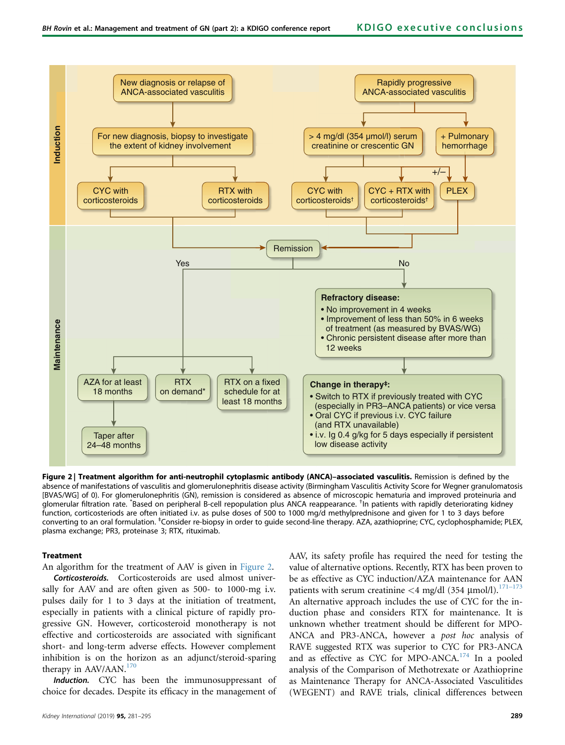

Figure 2 | Treatment algorithm for anti-neutrophil cytoplasmic antibody (ANCA)-associated vasculitis. Remission is defined by the absence of manifestations of vasculitis and glomerulonephritis disease activity (Birmingham Vasculitis Activity Score for Wegner granulomatosis [BVAS/WG] of 0). For glomerulonephritis (GN), remission is considered as absence of microscopic hematuria and improved proteinuria and e<br>glomerular filtration rate. Based on peripheral B-cell repopulation plus ANCA reappearance. <sup>†</sup>In patients with rapidly deteriorating kidney function, corticosteriods are often initiated i.v. as pulse doses of 500 to 1000 mg/d methylprednisone and given for 1 to 3 days before converting to an oral formulation. <sup>‡</sup>Consider re-biopsy in order to guide second-line therapy. AZA, azathioprine; CYC, cyclophosphamide; PLEX, plasma exchange; PR3, proteinase 3; RTX, rituximab.

### Treatment

An algorithm for the treatment of AAV is given in Figure 2.

Corticosteroids. Corticosteroids are used almost universally for AAV and are often given as 500- to 1000-mg i.v. pulses daily for 1 to 3 days at the initiation of treatment, especially in patients with a clinical picture of rapidly progressive GN. However, corticosteroid monotherapy is not effective and corticosteroids are associated with significant short- and long-term adverse effects. However complement inhibition is on the horizon as an adjunct/steroid-sparing therapy in AAV/AAN.<sup>[170](#page-14-0)</sup>

Induction. CYC has been the immunosuppressant of choice for decades. Despite its efficacy in the management of

value of alternative options. Recently, RTX has been proven to be as effective as CYC induction/AZA maintenance for AAN patients with serum creatinine  $\langle 4 \text{ mg/dl} (354 \text{ \mu mol/l}).^{171-173}$  $\langle 4 \text{ mg/dl} (354 \text{ \mu mol/l}).^{171-173}$  $\langle 4 \text{ mg/dl} (354 \text{ \mu mol/l}).^{171-173}$ An alternative approach includes the use of CYC for the induction phase and considers RTX for maintenance. It is unknown whether treatment should be different for MPO-ANCA and PR3-ANCA, however a post hoc analysis of RAVE suggested RTX was superior to CYC for PR3-ANCA and as effective as CYC for MPO-ANCA.<sup>[174](#page-14-0)</sup> In a pooled analysis of the Comparison of Methotrexate or Azathioprine as Maintenance Therapy for ANCA-Associated Vasculitides (WEGENT) and RAVE trials, clinical differences between

AAV, its safety profile has required the need for testing the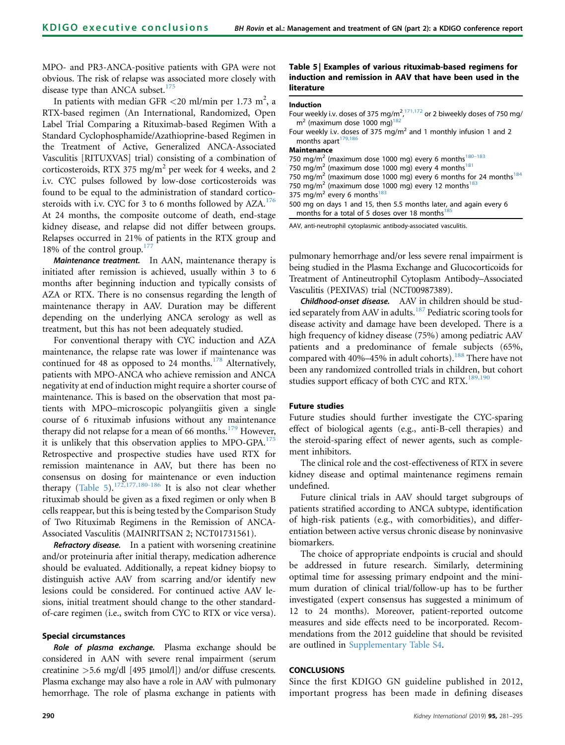MPO- and PR3-ANCA-positive patients with GPA were not obvious. The risk of relapse was associated more closely with disease type than ANCA subset.<sup>[175](#page-14-0)</sup>

In patients with median GFR <20 ml/min per 1.73 m<sup>2</sup>, a RTX-based regimen (An International, Randomized, Open Label Trial Comparing a Rituximab-based Regimen With a Standard Cyclophosphamide/Azathioprine-based Regimen in the Treatment of Active, Generalized ANCA-Associated Vasculitis [RITUXVAS] trial) consisting of a combination of corticosteroids, RTX 375 mg/m<sup>2</sup> per week for 4 weeks, and 2 i.v. CYC pulses followed by low-dose corticosteroids was found to be equal to the administration of standard corticosteroids with i.v. CYC for 3 to 6 months followed by  $AZA$ .<sup>[176](#page-14-0)</sup> At 24 months, the composite outcome of death, end-stage kidney disease, and relapse did not differ between groups. Relapses occurred in 21% of patients in the RTX group and 18% of the control group. $177$ 

Maintenance treatment. In AAN, maintenance therapy is initiated after remission is achieved, usually within 3 to 6 months after beginning induction and typically consists of AZA or RTX. There is no consensus regarding the length of maintenance therapy in AAV. Duration may be different depending on the underlying ANCA serology as well as treatment, but this has not been adequately studied.

For conventional therapy with CYC induction and AZA maintenance, the relapse rate was lower if maintenance was continued for 48 as opposed to 24 months.<sup>[178](#page-14-0)</sup> Alternatively, patients with MPO-ANCA who achieve remission and ANCA negativity at end of induction might require a shorter course of maintenance. This is based on the observation that most patients with MPO–microscopic polyangiitis given a single course of 6 rituximab infusions without any maintenance therapy did not relapse for a mean of 66 months.<sup>179</sup> However, it is unlikely that this observation applies to MPO-GPA.<sup>[175](#page-14-0)</sup> Retrospective and prospective studies have used RTX for remission maintenance in AAV, but there has been no consensus on dosing for maintenance or even induction therapy (Table 5).<sup>[172,177,180-186](#page-14-0)</sup> It is also not clear whether rituximab should be given as a fixed regimen or only when B cells reappear, but this is being tested by the Comparison Study of Two Rituximab Regimens in the Remission of ANCA-Associated Vasculitis (MAINRITSAN 2; NCT01731561).

Refractory disease. In a patient with worsening creatinine and/or proteinuria after initial therapy, medication adherence should be evaluated. Additionally, a repeat kidney biopsy to distinguish active AAV from scarring and/or identify new lesions could be considered. For continued active AAV lesions, initial treatment should change to the other standardof-care regimen (i.e., switch from CYC to RTX or vice versa).

### Special circumstances

Role of plasma exchange. Plasma exchange should be considered in AAN with severe renal impairment (serum creatinine  $>5.6$  mg/dl [495 µmol/l]) and/or diffuse crescents. Plasma exchange may also have a role in AAV with pulmonary hemorrhage. The role of plasma exchange in patients with

# Table 5 | Examples of various rituximab-based regimens for induction and remission in AAV that have been used in the literature

### Induction

| Four weekly i.v. doses of 375 mg/m <sup>2</sup> , <sup>171,172</sup> or 2 biweekly doses of 750 mg/ |  |
|-----------------------------------------------------------------------------------------------------|--|
| $m2$ (maximum dose 1000 mg) <sup>182</sup>                                                          |  |

Four weekly i.v. doses of 375 mg/ $m^2$  and 1 monthly infusion 1 and 2 months apart<sup>1</sup>

# Maintenance

750 mg/m<sup>2</sup> (maximum dose 1000 mg) every 6 months<sup>180-183</sup> 750 mg/m<sup>2</sup> (maximum dose 1000 mg) every 4 months<sup>181</sup> 750 mg/m<sup>2</sup> (maximum dose 1000 mg) every 6 months for 24 months<sup>[184](#page-14-0)</sup> 750 mg/m<sup>2</sup> (maximum dose 1000 mg) every 12 months<sup>183</sup> 375 mg/m<sup>2</sup> every 6 months<sup>[183](#page-14-0)</sup> 500 mg on days 1 and 15, then 5.5 months later, and again every 6 months for a total of 5 doses over 18 months<sup>1</sup>

AAV, anti-neutrophil cytoplasmic antibody-associated vasculitis.

pulmonary hemorrhage and/or less severe renal impairment is being studied in the Plasma Exchange and Glucocorticoids for Treatment of Antineutrophil Cytoplasm Antibody–Associated Vasculitis (PEXIVAS) trial (NCT00987389).

Childhood-onset disease. AAV in children should be stud-ied separately from AAV in adults.<sup>[187](#page-14-0)</sup> Pediatric scoring tools for disease activity and damage have been developed. There is a high frequency of kidney disease (75%) among pediatric AAV patients and a predominance of female subjects (65%, compared with 40%–45% in adult cohorts).<sup>[188](#page-14-0)</sup> There have not been any randomized controlled trials in children, but cohort studies support efficacy of both CYC and RTX.<sup>[189,190](#page-14-0)</sup>

### Future studies

Future studies should further investigate the CYC-sparing effect of biological agents (e.g., anti-B-cell therapies) and the steroid-sparing effect of newer agents, such as complement inhibitors.

The clinical role and the cost-effectiveness of RTX in severe kidney disease and optimal maintenance regimens remain undefined.

Future clinical trials in AAV should target subgroups of patients stratified according to ANCA subtype, identification of high-risk patients (e.g., with comorbidities), and differentiation between active versus chronic disease by noninvasive biomarkers.

The choice of appropriate endpoints is crucial and should be addressed in future research. Similarly, determining optimal time for assessing primary endpoint and the minimum duration of clinical trial/follow-up has to be further investigated (expert consensus has suggested a minimum of 12 to 24 months). Moreover, patient-reported outcome measures and side effects need to be incorporated. Recommendations from the 2012 guideline that should be revisited are outlined in [Supplementary Table S4](#page-10-0).

### **CONCLUSIONS**

Since the first KDIGO GN guideline published in 2012, important progress has been made in defining diseases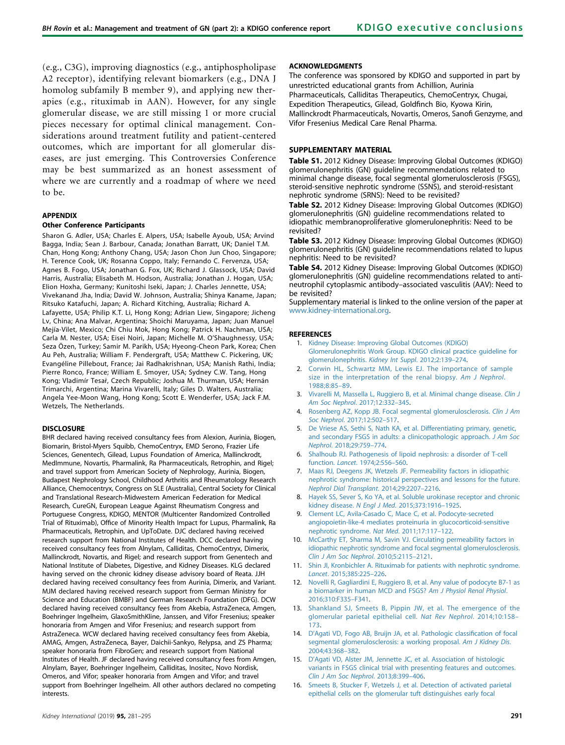<span id="page-10-0"></span>(e.g., C3G), improving diagnostics (e.g., antiphospholipase A2 receptor), identifying relevant biomarkers (e.g., DNA J homolog subfamily B member 9), and applying new therapies (e.g., rituximab in AAN). However, for any single glomerular disease, we are still missing 1 or more crucial pieces necessary for optimal clinical management. Considerations around treatment futility and patient-centered outcomes, which are important for all glomerular diseases, are just emerging. This Controversies Conference may be best summarized as an honest assessment of where we are currently and a roadmap of where we need to be.

### APPENDIX

### Other Conference Participants

Sharon G. Adler, USA; Charles E. Alpers, USA; Isabelle Ayoub, USA; Arvind Bagga, India; Sean J. Barbour, Canada; Jonathan Barratt, UK; Daniel T.M. Chan, Hong Kong; Anthony Chang, USA; Jason Chon Jun Choo, Singapore; H. Terence Cook, UK; Rosanna Coppo, Italy; Fernando C. Fervenza, USA; Agnes B. Fogo, USA; Jonathan G. Fox, UK; Richard J. Glassock, USA; David Harris, Australia; Elisabeth M. Hodson, Australia; Jonathan J. Hogan, USA; Elion Hoxha, Germany; Kunitoshi Iseki, Japan; J. Charles Jennette, USA; Vivekanand Jha, India; David W. Johnson, Australia; Shinya Kaname, Japan; Ritsuko Katafuchi, Japan; A. Richard Kitching, Australia; Richard A. Lafayette, USA; Philip K.T. Li, Hong Kong; Adrian Liew, Singapore; Jicheng Lv, China; Ana Malvar, Argentina; Shoichi Maruyama, Japan; Juan Manuel Mejía-Vilet, Mexico; Chi Chiu Mok, Hong Kong; Patrick H. Nachman, USA; Carla M. Nester, USA; Eisei Noiri, Japan; Michelle M. O'Shaughnessy, USA; Seza Özen, Turkey; Samir M. Parikh, USA; Hyeong-Cheon Park, Korea; Chen Au Peh, Australia; William F. Pendergraft, USA; Matthew C. Pickering, UK; Evangéline Pillebout, France; Jai Radhakrishnan, USA; Manish Rathi, India; Pierre Ronco, France; William E. Smoyer, USA; Sydney C.W. Tang, Hong Kong; Vladimír Tesař, Czech Republic; Joshua M. Thurman, USA; Hernán Trimarchi, Argentina; Marina Vivarelli, Italy; Giles D. Walters, Australia; Angela Yee-Moon Wang, Hong Kong; Scott E. Wenderfer, USA; Jack F.M. Wetzels, The Netherlands.

### **DISCLOSURE**

BHR declared having received consultancy fees from Alexion, Aurinia, Biogen, Biomarin, Bristol-Myers Squibb, ChemoCentryx, EMD Serono, Frazier Life Sciences, Genentech, Gilead, Lupus Foundation of America, Mallinckrodt, MedImmune, Novartis, Pharmalink, Ra Pharmaceuticals, Retrophin, and Rigel; and travel support from American Society of Nephrology, Aurinia, Biogen, Budapest Nephrology School, Childhood Arthritis and Rheumatology Research Alliance, Chemocentryx, Congress on SLE (Australia), Central Society for Clinical and Translational Research-Midwestern American Federation for Medical Research, CureGN, European League Against Rheumatism Congress and Portuguese Congress, KDIGO, MENTOR (Multicenter Randomized Controlled Trial of Rituximab), Office of Minority Health Impact for Lupus, Pharmalink, Ra Pharmaceuticals, Retrophin, and UpToDate. DJC declared having received research support from National Institutes of Health. DCC declared having received consultancy fees from Alnylam, Calliditas, ChemoCentryx, Dimerix, Mallinckrodt, Novartis, and Rigel; and research support from Genentech and National Institute of Diabetes, Digestive, and Kidney Diseases. KLG declared having served on the chronic kidney disease advisory board of Reata. JJH declared having received consultancy fees from Aurinia, Dimerix, and Variant. MJM declared having received research support from German Ministry for Science and Education (BMBF) and German Research Foundation (DFG). DCW declared having received consultancy fees from Akebia, AstraZeneca, Amgen, Boehringer Ingelheim, GlaxoSmithKline, Janssen, and Vifor Fresenius; speaker honoraria from Amgen and Vifor Fresenius; and research support from AstraZeneca. WCW declared having received consultancy fees from Akebia, AMAG, Amgen, AstraZeneca, Bayer, Daichii-Sankyo, Relypsa, and ZS Pharma; speaker honoraria from FibroGen; and research support from National Institutes of Health. JF declared having received consultancy fees from Amgen, Alnylam, Bayer, Boehringer Ingelheim, Calliditas, Inositec, Novo Nordisk, Omeros, and Vifor; speaker honoraria from Amgen and Vifor; and travel support from Boehringer Ingelheim. All other authors declared no competing interests.

### ACKNOWLEDGMENTS

The conference was sponsored by KDIGO and supported in part by unrestricted educational grants from Achillion, Aurinia Pharmaceuticals, Calliditas Therapeutics, ChemoCentryx, Chugai, Expedition Therapeutics, Gilead, Goldfinch Bio, Kyowa Kirin, Mallinckrodt Pharmaceuticals, Novartis, Omeros, Sanofi Genzyme, and Vifor Fresenius Medical Care Renal Pharma.

### SUPPI FMFNTARY MATFRIAL

Table S1. 2012 Kidney Disease: Improving Global Outcomes (KDIGO) glomerulonephritis (GN) guideline recommendations related to minimal change disease, focal segmental glomerulosclerosis (FSGS), steroid-sensitive nephrotic syndrome (SSNS), and steroid-resistant nephrotic syndrome (SRNS): Need to be revisited?

Table S2. 2012 Kidney Disease: Improving Global Outcomes (KDIGO) glomerulonephritis (GN) guideline recommendations related to idiopathic membranoproliferative glomerulonephritis: Need to be revisited?

Table S3. 2012 Kidney Disease: Improving Global Outcomes (KDIGO) glomerulonephritis (GN) guideline recommendations related to lupus nephritis: Need to be revisited?

Table S4. 2012 Kidney Disease: Improving Global Outcomes (KDIGO) glomerulonephritis (GN) guideline recommendations related to antineutrophil cytoplasmic antibody–associated vasculitis (AAV): Need to be revisited?

Supplementary material is linked to the online version of the paper at [www.kidney-international.org.](http://www.kidney-international.org)

#### **REFERENCES**

- 1. [Kidney Disease: Improving Global Outcomes \(KDIGO\)](http://refhub.elsevier.com/S0085-2538(18)30811-1/sref1) [Glomerulonephritis Work Group. KDIGO clinical practice guideline for](http://refhub.elsevier.com/S0085-2538(18)30811-1/sref1) [glomerulonephritis.](http://refhub.elsevier.com/S0085-2538(18)30811-1/sref1) Kidney Int Suppl. 2012;2:139–274.
- 2. [Corwin HL, Schwartz MM, Lewis EJ. The importance of sample](http://refhub.elsevier.com/S0085-2538(18)30811-1/sref2) [size in the interpretation of the renal biopsy.](http://refhub.elsevier.com/S0085-2538(18)30811-1/sref2) Am J Nephrol. [1988;8:85](http://refhub.elsevier.com/S0085-2538(18)30811-1/sref2)–89.
- 3. [Vivarelli M, Massella L, Ruggiero B, et al. Minimal change disease.](http://refhub.elsevier.com/S0085-2538(18)30811-1/sref3) Clin J [Am Soc Nephrol](http://refhub.elsevier.com/S0085-2538(18)30811-1/sref3). 2017;12:332–345.
- [Rosenberg AZ, Kopp JB. Focal segmental glomerulosclerosis.](http://refhub.elsevier.com/S0085-2538(18)30811-1/sref4) Clin J Am Soc Nephrol[. 2017;12:502](http://refhub.elsevier.com/S0085-2538(18)30811-1/sref4)–517.
- 5. [De Vriese AS, Sethi S, Nath KA, et al. Differentiating primary, genetic,](http://refhub.elsevier.com/S0085-2538(18)30811-1/sref5) [and secondary FSGS in adults: a clinicopathologic approach.](http://refhub.elsevier.com/S0085-2538(18)30811-1/sref5) J Am Soc Nephrol[. 2018;29:759](http://refhub.elsevier.com/S0085-2538(18)30811-1/sref5)–774.
- 6. [Shalhoub RJ. Pathogenesis of lipoid nephrosis: a disorder of T-cell](http://refhub.elsevier.com/S0085-2538(18)30811-1/sref6) function. Lancet[. 1974;2:556](http://refhub.elsevier.com/S0085-2538(18)30811-1/sref6)–560.
- 7. [Maas RJ, Deegens JK, Wetzels JF. Permeability factors in idiopathic](http://refhub.elsevier.com/S0085-2538(18)30811-1/sref7) [nephrotic syndrome: historical perspectives and lessons for the future.](http://refhub.elsevier.com/S0085-2538(18)30811-1/sref7) [Nephrol Dial Transplant](http://refhub.elsevier.com/S0085-2538(18)30811-1/sref7). 2014;29:2207–2216.
- 8. [Hayek SS, Sever S, Ko YA, et al. Soluble urokinase receptor and chronic](http://refhub.elsevier.com/S0085-2538(18)30811-1/sref8) kidney disease. N Engl J Med[. 2015;373:1916](http://refhub.elsevier.com/S0085-2538(18)30811-1/sref8)–1925.
- 9. [Clement LC, Avila-Casado C, Mace C, et al. Podocyte-secreted](http://refhub.elsevier.com/S0085-2538(18)30811-1/sref9) [angiopoietin-like-4 mediates proteinuria in glucocorticoid-sensitive](http://refhub.elsevier.com/S0085-2538(18)30811-1/sref9) [nephrotic syndrome.](http://refhub.elsevier.com/S0085-2538(18)30811-1/sref9) Nat Med. 2011;17:117–122.
- 10. [McCarthy ET, Sharma M, Savin VJ. Circulating permeability factors in](http://refhub.elsevier.com/S0085-2538(18)30811-1/sref10) [idiopathic nephrotic syndrome and focal segmental glomerulosclerosis.](http://refhub.elsevier.com/S0085-2538(18)30811-1/sref10) [Clin J Am Soc Nephrol](http://refhub.elsevier.com/S0085-2538(18)30811-1/sref10). 2010;5:2115–2121.
- 11. [Shin JI, Kronbichler A. Rituximab for patients with nephrotic syndrome.](http://refhub.elsevier.com/S0085-2538(18)30811-1/sref11) Lancet[. 2015;385:225](http://refhub.elsevier.com/S0085-2538(18)30811-1/sref11)–226.
- 12. [Novelli R, Gagliardini E, Ruggiero B, et al. Any value of podocyte B7-1 as](http://refhub.elsevier.com/S0085-2538(18)30811-1/sref12) [a biomarker in human MCD and FSGS?](http://refhub.elsevier.com/S0085-2538(18)30811-1/sref12) Am J Physiol Renal Physiol. [2016;310:F335](http://refhub.elsevier.com/S0085-2538(18)30811-1/sref12)–F341.
- 13. Shankland SJ, Smeets B, Pippin [JW, et al. The emergence of the](http://refhub.elsevier.com/S0085-2538(18)30811-1/sref13) [glomerular parietal epithelial cell.](http://refhub.elsevier.com/S0085-2538(18)30811-1/sref13) Nat Rev Nephrol. 2014;10:158– [173](http://refhub.elsevier.com/S0085-2538(18)30811-1/sref13).
- 14. D'[Agati VD, Fogo AB, Bruijn JA, et al. Pathologic classi](http://refhub.elsevier.com/S0085-2538(18)30811-1/sref14)fication of focal [segmental glomerulosclerosis: a working proposal.](http://refhub.elsevier.com/S0085-2538(18)30811-1/sref14) Am J Kidney Dis. [2004;43:368](http://refhub.elsevier.com/S0085-2538(18)30811-1/sref14)–382.
- 15. D'[Agati VD, Alster JM, Jennette JC, et al. Association of histologic](http://refhub.elsevier.com/S0085-2538(18)30811-1/sref15) [variants in FSGS clinical trial with presenting features and outcomes.](http://refhub.elsevier.com/S0085-2538(18)30811-1/sref15) [Clin J Am Soc Nephrol](http://refhub.elsevier.com/S0085-2538(18)30811-1/sref15). 2013;8:399–406.
- 16. [Smeets B, Stucker F, Wetzels J, et al. Detection of activated parietal](http://refhub.elsevier.com/S0085-2538(18)30811-1/sref16) [epithelial cells on the glomerular tuft distinguishes early focal](http://refhub.elsevier.com/S0085-2538(18)30811-1/sref16)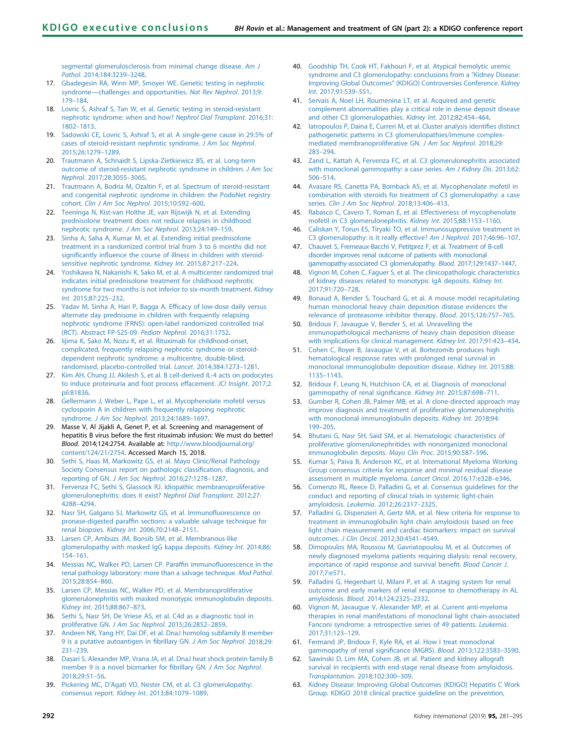<span id="page-11-0"></span>[segmental glomerulosclerosis from minimal change disease.](http://refhub.elsevier.com/S0085-2538(18)30811-1/sref16) Am J Pathol[. 2014;184:3239](http://refhub.elsevier.com/S0085-2538(18)30811-1/sref16)–3248.

- 17. [Gbadegesin RA, Winn MP, Smoyer WE. Genetic testing in nephrotic](http://refhub.elsevier.com/S0085-2538(18)30811-1/sref17) syndrome—[challenges and opportunities.](http://refhub.elsevier.com/S0085-2538(18)30811-1/sref17) Nat Rev Nephrol. 2013;9: [179](http://refhub.elsevier.com/S0085-2538(18)30811-1/sref17)–184.
- 18. [Lovric S, Ashraf S, Tan W, et al. Genetic testing in steroid-resistant](http://refhub.elsevier.com/S0085-2538(18)30811-1/sref18) [nephrotic syndrome: when and how?](http://refhub.elsevier.com/S0085-2538(18)30811-1/sref18) Nephrol Dial Transplant. 2016;31: 1802–[1813](http://refhub.elsevier.com/S0085-2538(18)30811-1/sref18).
- 19. [Sadowski CE, Lovric S, Ashraf S, et al. A single-gene cause in 29.5% of](http://refhub.elsevier.com/S0085-2538(18)30811-1/sref19) [cases of steroid-resistant nephrotic syndrome.](http://refhub.elsevier.com/S0085-2538(18)30811-1/sref19) J Am Soc Nephrol. [2015;26:1279](http://refhub.elsevier.com/S0085-2538(18)30811-1/sref19)–1289.
- 20. [Trautmann A, Schnaidt S, Lipska-Zietkiewicz BS, et al. Long-term](http://refhub.elsevier.com/S0085-2538(18)30811-1/sref20) [outcome of steroid-resistant nephrotic syndrome in children.](http://refhub.elsevier.com/S0085-2538(18)30811-1/sref20) J Am Soc Nephrol[. 2017;28:3055](http://refhub.elsevier.com/S0085-2538(18)30811-1/sref20)–3065.
- 21. [Trautmann A, Bodria M, Ozaltin F, et al. Spectrum of steroid-resistant](http://refhub.elsevier.com/S0085-2538(18)30811-1/sref21) [and congenital nephrotic syndrome in children: the PodoNet registry](http://refhub.elsevier.com/S0085-2538(18)30811-1/sref21) cohort. [Clin J Am Soc Nephrol](http://refhub.elsevier.com/S0085-2538(18)30811-1/sref21). 2015;10:592–600.
- 22. [Teeninga N, Kist-van Holthe JE, van Rijswijk N, et al. Extending](http://refhub.elsevier.com/S0085-2538(18)30811-1/sref22) [prednisolone treatment does not reduce relapses in childhood](http://refhub.elsevier.com/S0085-2538(18)30811-1/sref22) [nephrotic syndrome.](http://refhub.elsevier.com/S0085-2538(18)30811-1/sref22) J Am Soc Nephrol. 2013;24:149–159.
- 23. [Sinha A, Saha A, Kumar M, et al. Extending initial prednisolone](http://refhub.elsevier.com/S0085-2538(18)30811-1/sref23) [treatment in a randomized control trial from 3 to 6 months did not](http://refhub.elsevier.com/S0085-2538(18)30811-1/sref23) significantly infl[uence the course of illness in children with steroid](http://refhub.elsevier.com/S0085-2538(18)30811-1/sref23)[sensitive nephrotic syndrome.](http://refhub.elsevier.com/S0085-2538(18)30811-1/sref23) Kidney Int. 2015;87:217–224.
- 24. [Yoshikawa N, Nakanishi K, Sako M, et al. A multicenter randomized trial](http://refhub.elsevier.com/S0085-2538(18)30811-1/sref24) [indicates initial prednisolone treatment for childhood nephrotic](http://refhub.elsevier.com/S0085-2538(18)30811-1/sref24) [syndrome for two months is not inferior to six-month treatment.](http://refhub.elsevier.com/S0085-2538(18)30811-1/sref24) Kidney Int[. 2015;87:225](http://refhub.elsevier.com/S0085-2538(18)30811-1/sref24)–232.
- 25. [Yadav M, Sinha A, Hari P, Bagga A. Ef](http://refhub.elsevier.com/S0085-2538(18)30811-1/sref25)ficacy of low-dose daily versus [alternate day prednisone in children with frequently relapsing](http://refhub.elsevier.com/S0085-2538(18)30811-1/sref25) [nephrotic syndrome \(FRNS\): open-label randomized controlled trial](http://refhub.elsevier.com/S0085-2538(18)30811-1/sref25) [\(RCT\). Abstract FP-S25-09.](http://refhub.elsevier.com/S0085-2538(18)30811-1/sref25) Pediatr Nephrol. 2016;31:1752.
- 26. Iijima K, Sako M, Nozu K, et al. Rituximab for childhood-onset. [complicated, frequently relapsing nephrotic syndrome or steroid](http://refhub.elsevier.com/S0085-2538(18)30811-1/sref26)[dependent nephrotic syndrome: a multicentre, double-blind,](http://refhub.elsevier.com/S0085-2538(18)30811-1/sref26) [randomised, placebo-controlled trial.](http://refhub.elsevier.com/S0085-2538(18)30811-1/sref26) Lancet. 2014;384:1273–1281.
- 27. [Kim AH, Chung JJ, Akilesh S, et al. B cell-derived IL-4 acts on podocytes](http://refhub.elsevier.com/S0085-2538(18)30811-1/sref27) [to induce proteinuria and foot process effacement.](http://refhub.elsevier.com/S0085-2538(18)30811-1/sref27) JCI Insight. 2017;2. [pii:81836.](http://refhub.elsevier.com/S0085-2538(18)30811-1/sref27)
- 28. [Gellermann J, Weber L, Pape L, et al. Mycophenolate mofetil versus](http://refhub.elsevier.com/S0085-2538(18)30811-1/sref28) [cyclosporin A in children with frequently relapsing nephrotic](http://refhub.elsevier.com/S0085-2538(18)30811-1/sref28) syndrome. [J Am Soc Nephrol](http://refhub.elsevier.com/S0085-2538(18)30811-1/sref28). 2013;24:1689–1697.
- 29. Masse V, Al Jijakli A, Genet P, et al. Screening and management of hepatitis B virus before the first rituximab infusion: We must do better! Blood. 2014;124:2754. Available at: [http://www.bloodjournal.org/](http://www.bloodjournal.org/content/124/21/2754) [content/124/21/2754.](http://www.bloodjournal.org/content/124/21/2754) Accessed March 15, 2018.
- 30. [Sethi S, Haas M, Markowitz GS, et al. Mayo Clinic/Renal Pathology](http://refhub.elsevier.com/S0085-2538(18)30811-1/sref30) [Society Consensus report on pathologic classi](http://refhub.elsevier.com/S0085-2538(18)30811-1/sref30)fication, diagnosis, and reporting of GN. [J Am Soc Nephrol](http://refhub.elsevier.com/S0085-2538(18)30811-1/sref30). 2016;27:1278–1287.
- 31. [Fervenza FC, Sethi S, Glassock RJ. Idiopathic membranoproliferative](http://refhub.elsevier.com/S0085-2538(18)30811-1/sref31) [glomerulonephritis: does it exist?](http://refhub.elsevier.com/S0085-2538(18)30811-1/sref31) Nephrol Dial Transplant. 2012;27: 4288–[4294](http://refhub.elsevier.com/S0085-2538(18)30811-1/sref31).
- 32. [Nasr SH, Galgano SJ, Markowitz GS, et al. Immuno](http://refhub.elsevier.com/S0085-2538(18)30811-1/sref32)fluorescence on pronase-digested paraffi[n sections: a valuable salvage technique for](http://refhub.elsevier.com/S0085-2538(18)30811-1/sref32) renal biopsies. Kidney Int[. 2006;70:2148](http://refhub.elsevier.com/S0085-2538(18)30811-1/sref32)–2151.
- 33. [Larsen CP, Ambuzs JM, Bonsib SM, et al. Membranous-like](http://refhub.elsevier.com/S0085-2538(18)30811-1/sref33) [glomerulopathy with masked IgG kappa deposits.](http://refhub.elsevier.com/S0085-2538(18)30811-1/sref33) Kidney Int. 2014;86: [154](http://refhub.elsevier.com/S0085-2538(18)30811-1/sref33)–161.
- 34. [Messias NC, Walker PD, Larsen CP. Paraf](http://refhub.elsevier.com/S0085-2538(18)30811-1/sref34)fin immunofluorescence in the [renal pathology laboratory: more than a salvage technique.](http://refhub.elsevier.com/S0085-2538(18)30811-1/sref34) Mod Pathol. [2015;28:854](http://refhub.elsevier.com/S0085-2538(18)30811-1/sref34)–860.
- 35. [Larsen CP, Messias NC, Walker PD, et al. Membranoproliferative](http://refhub.elsevier.com/S0085-2538(18)30811-1/sref35) [glomerulonephritis with masked monotypic immunoglobulin deposits.](http://refhub.elsevier.com/S0085-2538(18)30811-1/sref35) Kidney Int[. 2015;88:867](http://refhub.elsevier.com/S0085-2538(18)30811-1/sref35)–873.
- 36. [Sethi S, Nasr SH, De Vriese AS, et al. C4d as a diagnostic tool in](http://refhub.elsevier.com/S0085-2538(18)30811-1/sref36) proliferative GN. [J Am Soc Nephrol](http://refhub.elsevier.com/S0085-2538(18)30811-1/sref36). 2015;26:2852–2859.
- 37. [Andeen NK, Yang HY, Dai DF, et al. DnaJ homolog subfamily B member](http://refhub.elsevier.com/S0085-2538(18)30811-1/sref37) [9 is a putative autoantigen in](http://refhub.elsevier.com/S0085-2538(18)30811-1/sref37) fibrillary GN. J Am Soc Nephrol. 2018;29: [231](http://refhub.elsevier.com/S0085-2538(18)30811-1/sref37)–239.
- 38. [Dasari S, Alexander MP, Vrana JA, et al. DnaJ heat shock protein family B](http://refhub.elsevier.com/S0085-2538(18)30811-1/sref38) [member 9 is a novel biomarker for](http://refhub.elsevier.com/S0085-2538(18)30811-1/sref38) fibrillary GN. J Am Soc Nephrol. [2018;29:51](http://refhub.elsevier.com/S0085-2538(18)30811-1/sref38)–56.
- 39. Pickering MC, D'[Agati VD, Nester CM, et al. C3 glomerulopathy:](http://refhub.elsevier.com/S0085-2538(18)30811-1/sref39) [consensus report.](http://refhub.elsevier.com/S0085-2538(18)30811-1/sref39) Kidney Int. 2013;84:1079–1089.
- 40. [Goodship TH, Cook HT, Fakhouri F, et al. Atypical hemolytic uremic](http://refhub.elsevier.com/S0085-2538(18)30811-1/sref40) [syndrome and C3 glomerulopathy: conclusions from a "Kidney Disease:](http://refhub.elsevier.com/S0085-2538(18)30811-1/sref40) [Improving Global Outcomes" \(KDIGO\) Controversies Conference.](http://refhub.elsevier.com/S0085-2538(18)30811-1/sref40) Kidney Int[. 2017;91:539](http://refhub.elsevier.com/S0085-2538(18)30811-1/sref40)–551.
- 41. [Servais A, Noel LH, Roumenina LT, et al. Acquired and genetic](http://refhub.elsevier.com/S0085-2538(18)30811-1/sref41) [complement abnormalities play a critical role in dense deposit disease](http://refhub.elsevier.com/S0085-2538(18)30811-1/sref41) [and other C3 glomerulopathies.](http://refhub.elsevier.com/S0085-2538(18)30811-1/sref41) Kidney Int. 2012;82:454–464.
- 42. [Iatropoulos P, Daina E, Curreri M, et al. Cluster analysis identi](http://refhub.elsevier.com/S0085-2538(18)30811-1/sref42)fies distinct [pathogenetic patterns in C3 glomerulopathies/immune complex](http://refhub.elsevier.com/S0085-2538(18)30811-1/sref42)[mediated membranoproliferative GN.](http://refhub.elsevier.com/S0085-2538(18)30811-1/sref42) J Am Soc Nephrol. 2018;29: 283–[294.](http://refhub.elsevier.com/S0085-2538(18)30811-1/sref42)
- 43. [Zand L, Kattah A, Fervenza FC, et al. C3 glomerulonephritis associated](http://refhub.elsevier.com/S0085-2538(18)30811-1/sref43) [with monoclonal gammopathy: a case series.](http://refhub.elsevier.com/S0085-2538(18)30811-1/sref43) Am J Kidney Dis. 2013;62: 506–[514.](http://refhub.elsevier.com/S0085-2538(18)30811-1/sref43)
- 44. [Avasare RS, Canetta PA, Bomback AS, et al. Mycophenolate mofetil in](http://refhub.elsevier.com/S0085-2538(18)30811-1/sref44) [combination with steroids for treatment of C3 glomerulopathy: a case](http://refhub.elsevier.com/S0085-2538(18)30811-1/sref44) series. [Clin J Am Soc Nephrol](http://refhub.elsevier.com/S0085-2538(18)30811-1/sref44). 2018;13:406–413.
- 45. [Rabasco C, Cavero T, Roman E, et al. Effectiveness of mycophenolate](http://refhub.elsevier.com/S0085-2538(18)30811-1/sref45) [mofetil in C3 glomerulonephritis.](http://refhub.elsevier.com/S0085-2538(18)30811-1/sref45) Kidney Int. 2015;88:1153–1160.
- 46. [Caliskan Y, Torun ES, Tiryaki TO, et al. Immunosuppressive treatment in](http://refhub.elsevier.com/S0085-2538(18)30811-1/sref46) [C3 glomerulopathy: is it really effective?](http://refhub.elsevier.com/S0085-2538(18)30811-1/sref46) Am J Nephrol. 2017;46:96–107.
- 47. [Chauvet S, Fremeaux-Bacchi V, Petitprez F, et al. Treatment of B-cell](http://refhub.elsevier.com/S0085-2538(18)30811-1/sref47) [disorder improves renal outcome of patients with monoclonal](http://refhub.elsevier.com/S0085-2538(18)30811-1/sref47) [gammopathy-associated C3 glomerulopathy.](http://refhub.elsevier.com/S0085-2538(18)30811-1/sref47) Blood. 2017;129:1437–1447.
- 48. [Vignon M, Cohen C, Faguer S, et al. The clinicopathologic characteristics](http://refhub.elsevier.com/S0085-2538(18)30811-1/sref48) [of kidney diseases related to monotypic IgA deposits.](http://refhub.elsevier.com/S0085-2538(18)30811-1/sref48) Kidney Int. [2017;91:720](http://refhub.elsevier.com/S0085-2538(18)30811-1/sref48)–728.
- 49. [Bonaud A, Bender S, Touchard G, et al. A mouse model recapitulating](http://refhub.elsevier.com/S0085-2538(18)30811-1/sref49) [human monoclonal heavy chain deposition disease evidences the](http://refhub.elsevier.com/S0085-2538(18)30811-1/sref49) [relevance of proteasome inhibitor therapy.](http://refhub.elsevier.com/S0085-2538(18)30811-1/sref49) Blood. 2015;126:757–765.
- 50. [Bridoux F, Javaugue V, Bender S, et al. Unravelling the](http://refhub.elsevier.com/S0085-2538(18)30811-1/sref50) [immunopathological mechanisms of heavy chain deposition disease](http://refhub.elsevier.com/S0085-2538(18)30811-1/sref50) [with implications for clinical management.](http://refhub.elsevier.com/S0085-2538(18)30811-1/sref50) Kidney Int. 2017;91:423–434.
- 51. [Cohen C, Royer B, Javaugue V, et al. Bortezomib produces high](http://refhub.elsevier.com/S0085-2538(18)30811-1/sref51) [hematological response rates with prolonged renal survival in](http://refhub.elsevier.com/S0085-2538(18)30811-1/sref51) [monoclonal immunoglobulin deposition disease.](http://refhub.elsevier.com/S0085-2538(18)30811-1/sref51) Kidney Int. 2015;88: 1135–[1143.](http://refhub.elsevier.com/S0085-2538(18)30811-1/sref51)
- 52. [Bridoux F, Leung N, Hutchison CA, et al. Diagnosis of monoclonal](http://refhub.elsevier.com/S0085-2538(18)30811-1/sref52) [gammopathy of renal signi](http://refhub.elsevier.com/S0085-2538(18)30811-1/sref52)ficance. Kidney Int. 2015;87:698–711.
- 53. [Gumber R, Cohen JB, Palmer MB, et al. A clone-directed approach may](http://refhub.elsevier.com/S0085-2538(18)30811-1/sref53) [improve diagnosis and treatment of proliferative glomerulonephritis](http://refhub.elsevier.com/S0085-2538(18)30811-1/sref53) [with monoclonal immunoglobulin deposits.](http://refhub.elsevier.com/S0085-2538(18)30811-1/sref53) Kidney Int. 2018;94: 199–[205.](http://refhub.elsevier.com/S0085-2538(18)30811-1/sref53)
- 54. [Bhutani G, Nasr SH, Said SM, et al. Hematologic characteristics of](http://refhub.elsevier.com/S0085-2538(18)30811-1/sref54) [proliferative glomerulonephritides with nonorganized monoclonal](http://refhub.elsevier.com/S0085-2538(18)30811-1/sref54) [immunoglobulin deposits.](http://refhub.elsevier.com/S0085-2538(18)30811-1/sref54) Mayo Clin Proc. 2015;90:587–596.
- 55. [Kumar S, Paiva B, Anderson KC, et al. International Myeloma Working](http://refhub.elsevier.com/S0085-2538(18)30811-1/sref55) [Group consensus criteria for response and minimal residual disease](http://refhub.elsevier.com/S0085-2538(18)30811-1/sref55) [assessment in multiple myeloma.](http://refhub.elsevier.com/S0085-2538(18)30811-1/sref55) Lancet Oncol. 2016;17:e328–e346.
- 56. [Comenzo RL, Reece D, Palladini G, et al. Consensus guidelines for the](http://refhub.elsevier.com/S0085-2538(18)30811-1/sref56) [conduct and reporting of clinical trials in systemic light-chain](http://refhub.elsevier.com/S0085-2538(18)30811-1/sref56) amyloidosis. Leukemia[. 2012;26:2317](http://refhub.elsevier.com/S0085-2538(18)30811-1/sref56)–2325.
- 57. [Palladini G, Dispenzieri A, Gertz MA, et al. New criteria for response to](http://refhub.elsevier.com/S0085-2538(18)30811-1/sref57) [treatment in immunoglobulin light chain amyloidosis based on free](http://refhub.elsevier.com/S0085-2538(18)30811-1/sref57) [light chain measurement and cardiac biomarkers: impact on survival](http://refhub.elsevier.com/S0085-2538(18)30811-1/sref57) outcomes. J Clin Oncol[. 2012;30:4541](http://refhub.elsevier.com/S0085-2538(18)30811-1/sref57)–4549.
- 58. [Dimopoulos MA, Roussou M, Gavriatopoulou M, et al. Outcomes of](http://refhub.elsevier.com/S0085-2538(18)30811-1/sref58) [newly diagnosed myeloma patients requiring dialysis: renal recovery,](http://refhub.elsevier.com/S0085-2538(18)30811-1/sref58) [importance of rapid response and survival bene](http://refhub.elsevier.com/S0085-2538(18)30811-1/sref58)fit. Blood Cancer J. [2017;7:e571.](http://refhub.elsevier.com/S0085-2538(18)30811-1/sref58)
- 59. [Palladini G, Hegenbart U, Milani P, et al. A staging system for renal](http://refhub.elsevier.com/S0085-2538(18)30811-1/sref59) [outcome and early markers of renal response to chemotherapy in AL](http://refhub.elsevier.com/S0085-2538(18)30811-1/sref59) amyloidosis. Blood[. 2014;124:2325](http://refhub.elsevier.com/S0085-2538(18)30811-1/sref59)–2332.
- 60. [Vignon M, Javaugue V, Alexander MP, et al. Current anti-myeloma](http://refhub.elsevier.com/S0085-2538(18)30811-1/sref60) [therapies in renal manifestations of monoclonal light chain-associated](http://refhub.elsevier.com/S0085-2538(18)30811-1/sref60) [Fanconi syndrome: a retrospective series of 49 patients.](http://refhub.elsevier.com/S0085-2538(18)30811-1/sref60) Leukemia. [2017;31:123](http://refhub.elsevier.com/S0085-2538(18)30811-1/sref60)–129.
- 61. [Fermand JP, Bridoux F, Kyle RA, et al. How I treat monoclonal](http://refhub.elsevier.com/S0085-2538(18)30811-1/sref61) [gammopathy of renal signi](http://refhub.elsevier.com/S0085-2538(18)30811-1/sref61)ficance (MGRS). Blood. 2013;122:3583–3590.
- 62. [Sawinski D, Lim MA, Cohen JB, et al. Patient and kidney allograft](http://refhub.elsevier.com/S0085-2538(18)30811-1/sref62) [survival in recipients with end-stage renal disease from amyloidosis.](http://refhub.elsevier.com/S0085-2538(18)30811-1/sref62) [Transplantation](http://refhub.elsevier.com/S0085-2538(18)30811-1/sref62). 2018;102:300–309.
- 63. [Kidney Disease: Improving Global Outcomes \(KDIGO\) Hepatitis C Work](http://refhub.elsevier.com/S0085-2538(18)30811-1/sref63) [Group. KDIGO 2018 clinical practice guideline on the prevention,](http://refhub.elsevier.com/S0085-2538(18)30811-1/sref63)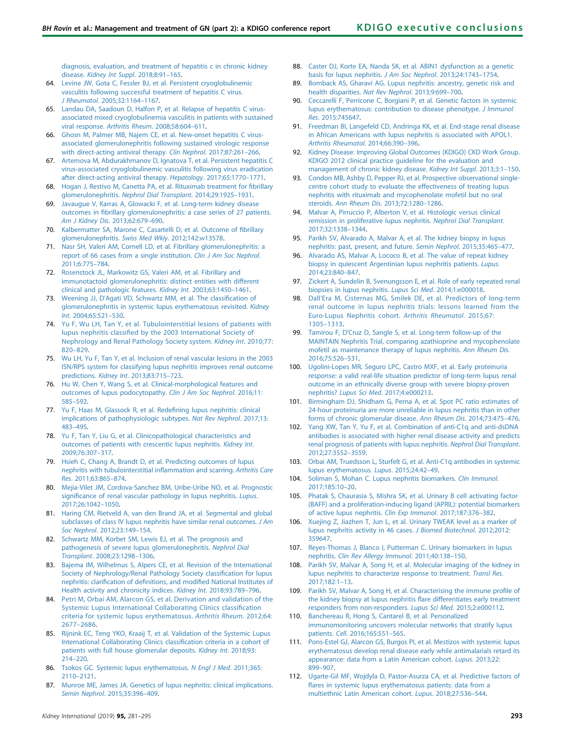<span id="page-12-0"></span>[diagnosis, evaluation, and treatment of hepatitis c in chronic kidney](http://refhub.elsevier.com/S0085-2538(18)30811-1/sref63) disease. [Kidney Int Suppl](http://refhub.elsevier.com/S0085-2538(18)30811-1/sref63). 2018;8:91–165.

- 64. [Levine JW, Gota C, Fessler BJ, et al. Persistent cryoglobulinemic](http://refhub.elsevier.com/S0085-2538(18)30811-1/sref64) [vasculitis following successful treatment of hepatitis C virus.](http://refhub.elsevier.com/S0085-2538(18)30811-1/sref64) J Rheumatol[. 2005;32:1164](http://refhub.elsevier.com/S0085-2538(18)30811-1/sref64)–1167.
- 65. [Landau DA, Saadoun D, Halfon P, et al. Relapse of hepatitis C virus](http://refhub.elsevier.com/S0085-2538(18)30811-1/sref65)[associated mixed cryoglobulinemia vasculitis in patients with sustained](http://refhub.elsevier.com/S0085-2538(18)30811-1/sref65) viral response. [Arthritis Rheum](http://refhub.elsevier.com/S0085-2538(18)30811-1/sref65). 2008;58:604–611.
- 66. [Ghosn M, Palmer MB, Najem CE, et al. New-onset hepatitis C virus](http://refhub.elsevier.com/S0085-2538(18)30811-1/sref66)[associated glomerulonephritis following sustained virologic response](http://refhub.elsevier.com/S0085-2538(18)30811-1/sref66) [with direct-acting antiviral therapy.](http://refhub.elsevier.com/S0085-2538(18)30811-1/sref66) Clin Nephrol. 2017;87:261-266.
- 67. [Artemova M, Abdurakhmanov D, Ignatova T, et al. Persistent hepatitis C](http://refhub.elsevier.com/S0085-2538(18)30811-1/sref67) [virus-associated cryoglobulinemic vasculitis following virus eradication](http://refhub.elsevier.com/S0085-2538(18)30811-1/sref67) [after direct-acting antiviral therapy.](http://refhub.elsevier.com/S0085-2538(18)30811-1/sref67) Hepatology. 2017;65:1770–1771.
- 68. [Hogan J, Restivo M, Canetta PA, et al. Rituximab treatment for](http://refhub.elsevier.com/S0085-2538(18)30811-1/sref68) fibrillary glomerulonephritis. [Nephrol Dial Transplant](http://refhub.elsevier.com/S0085-2538(18)30811-1/sref68). 2014;29:1925–1931.
- 69. [Javaugue V, Karras A, Glowacki F, et al. Long-term kidney disease](http://refhub.elsevier.com/S0085-2538(18)30811-1/sref69) outcomes in fi[brillary glomerulonephritis: a case series of 27 patients.](http://refhub.elsevier.com/S0085-2538(18)30811-1/sref69) [Am J Kidney Dis](http://refhub.elsevier.com/S0085-2538(18)30811-1/sref69). 2013;62:679–690.
- 70. [Kalbermatter SA, Marone C, Casartelli D, et al. Outcome of](http://refhub.elsevier.com/S0085-2538(18)30811-1/sref70) fibrillary [glomerulonephritis.](http://refhub.elsevier.com/S0085-2538(18)30811-1/sref70) Swiss Med Wkly. 2012;142:w13578.
- 71. [Nasr SH, Valeri AM, Cornell LD, et al. Fibrillary glomerulonephritis: a](http://refhub.elsevier.com/S0085-2538(18)30811-1/sref71) [report of 66 cases from a single institution.](http://refhub.elsevier.com/S0085-2538(18)30811-1/sref71) Clin J Am Soc Nephrol. [2011;6:775](http://refhub.elsevier.com/S0085-2538(18)30811-1/sref71)–784.
- 72. [Rosenstock JL, Markowitz GS, Valeri AM, et al. Fibrillary and](http://refhub.elsevier.com/S0085-2538(18)30811-1/sref72) [immunotactoid glomerulonephritis: distinct entities with different](http://refhub.elsevier.com/S0085-2538(18)30811-1/sref72) [clinical and pathologic features.](http://refhub.elsevier.com/S0085-2538(18)30811-1/sref72) Kidney Int. 2003;63:1450–1461.
- 73. Weening JJ, D'[Agati VD, Schwartz MM, et al. The classi](http://refhub.elsevier.com/S0085-2538(18)30811-1/sref74)fication of [glomerulonephritis in systemic lupus erythematosus revisited.](http://refhub.elsevier.com/S0085-2538(18)30811-1/sref74) Kidney Int[. 2004;65:521](http://refhub.elsevier.com/S0085-2538(18)30811-1/sref74)–530.
- 74. [Yu F, Wu LH, Tan Y, et al. Tubulointerstitial lesions of patients with](http://refhub.elsevier.com/S0085-2538(18)30811-1/sref75) lupus nephritis classifi[ed by the 2003 International Society of](http://refhub.elsevier.com/S0085-2538(18)30811-1/sref75) [Nephrology and Renal Pathology Society system.](http://refhub.elsevier.com/S0085-2538(18)30811-1/sref75) Kidney Int. 2010;77: [820](http://refhub.elsevier.com/S0085-2538(18)30811-1/sref75)–829.
- 75. [Wu LH, Yu F, Tan Y, et al. Inclusion of renal vascular lesions in the 2003](http://refhub.elsevier.com/S0085-2538(18)30811-1/sref76) [ISN/RPS system for classifying lupus nephritis improves renal outcome](http://refhub.elsevier.com/S0085-2538(18)30811-1/sref76) predictions. Kidney Int[. 2013;83:715](http://refhub.elsevier.com/S0085-2538(18)30811-1/sref76)–723.
- 76. [Hu W, Chen Y, Wang S, et al. Clinical-morphological features and](http://refhub.elsevier.com/S0085-2538(18)30811-1/sref77) [outcomes of lupus podocytopathy.](http://refhub.elsevier.com/S0085-2538(18)30811-1/sref77) Clin J Am Soc Nephrol. 2016;11: [585](http://refhub.elsevier.com/S0085-2538(18)30811-1/sref77)–592.
- 77. [Yu F, Haas M, Glassock R, et al. Rede](http://refhub.elsevier.com/S0085-2538(18)30811-1/sref78)fining lupus nephritis: clinical [implications of pathophysiologic subtypes.](http://refhub.elsevier.com/S0085-2538(18)30811-1/sref78) Nat Rev Nephrol. 2017;13: [483](http://refhub.elsevier.com/S0085-2538(18)30811-1/sref78)–495.
- 78. [Yu F, Tan Y, Liu G, et al. Clinicopathological characteristics and](http://refhub.elsevier.com/S0085-2538(18)30811-1/sref79) [outcomes of patients with crescentic lupus nephritis.](http://refhub.elsevier.com/S0085-2538(18)30811-1/sref79) Kidney Int. [2009;76:307](http://refhub.elsevier.com/S0085-2538(18)30811-1/sref79)–317.
- 79. [Hsieh C, Chang A, Brandt D, et al. Predicting outcomes of lupus](http://refhub.elsevier.com/S0085-2538(18)30811-1/sref80) [nephritis with tubulointerstitial in](http://refhub.elsevier.com/S0085-2538(18)30811-1/sref80)flammation and scarring. Arthritis Care Res[. 2011;63:865](http://refhub.elsevier.com/S0085-2538(18)30811-1/sref80)–874.
- 80. [Mejia-Vilet JM, Cordova-Sanchez BM, Uribe-Uribe NO, et al. Prognostic](http://refhub.elsevier.com/S0085-2538(18)30811-1/sref81) signifi[cance of renal vascular pathology in lupus nephritis.](http://refhub.elsevier.com/S0085-2538(18)30811-1/sref81) Lupus. [2017;26:1042](http://refhub.elsevier.com/S0085-2538(18)30811-1/sref81)–1050.
- 81. [Haring CM, Rietveld A, van den Brand JA, et al. Segmental and global](http://refhub.elsevier.com/S0085-2538(18)30811-1/sref82) [subclasses of class IV lupus nephritis have similar renal outcomes.](http://refhub.elsevier.com/S0085-2538(18)30811-1/sref82) J Am Soc Nephrol[. 2012;23:149](http://refhub.elsevier.com/S0085-2538(18)30811-1/sref82)–154.
- 82. [Schwartz MM, Korbet SM, Lewis EJ, et al. The prognosis and](http://refhub.elsevier.com/S0085-2538(18)30811-1/sref83) [pathogenesis of severe lupus glomerulonephritis.](http://refhub.elsevier.com/S0085-2538(18)30811-1/sref83) Nephrol Dial Transplant[. 2008;23:1298](http://refhub.elsevier.com/S0085-2538(18)30811-1/sref83)–1306.
- 83. [Bajema IM, Wilhelmus S, Alpers CE, et al. Revision of the International](http://refhub.elsevier.com/S0085-2538(18)30811-1/sref84) [Society of Nephrology/Renal Pathology Society classi](http://refhub.elsevier.com/S0085-2538(18)30811-1/sref84)fication for lupus nephritis: clarification of definitions, and modifi[ed National Institutes of](http://refhub.elsevier.com/S0085-2538(18)30811-1/sref84) [Health activity and chronicity indices.](http://refhub.elsevier.com/S0085-2538(18)30811-1/sref84) Kidney Int. 2018;93:789–796.
- 84. [Petri M, Orbai AM, Alarcon GS, et al. Derivation and validation of the](http://refhub.elsevier.com/S0085-2538(18)30811-1/sref85) [Systemic Lupus International Collaborating Clinics classi](http://refhub.elsevier.com/S0085-2538(18)30811-1/sref85)fication [criteria for systemic lupus erythematosus.](http://refhub.elsevier.com/S0085-2538(18)30811-1/sref85) Arthritis Rheum. 2012;64: 2677–[2686.](http://refhub.elsevier.com/S0085-2538(18)30811-1/sref85)
- 85. [Rijnink EC, Teng YKO, Kraaij T, et al. Validation of the Systemic Lupus](http://refhub.elsevier.com/S0085-2538(18)30811-1/sref86) [International Collaborating Clinics classi](http://refhub.elsevier.com/S0085-2538(18)30811-1/sref86)fication criteria in a cohort of [patients with full house glomerular deposits.](http://refhub.elsevier.com/S0085-2538(18)30811-1/sref86) Kidney Int. 2018;93: [214](http://refhub.elsevier.com/S0085-2538(18)30811-1/sref86)–220.
- 86. [Tsokos GC. Systemic lupus erythematosus.](http://refhub.elsevier.com/S0085-2538(18)30811-1/sref87) N Engl J Med. 2011;365: 2110–[2121](http://refhub.elsevier.com/S0085-2538(18)30811-1/sref87).
- 87. [Munroe ME, James JA. Genetics of lupus nephritis: clinical implications.](http://refhub.elsevier.com/S0085-2538(18)30811-1/sref88) [Semin Nephrol](http://refhub.elsevier.com/S0085-2538(18)30811-1/sref88). 2015;35:396–409.
- 88. [Caster DJ, Korte EA, Nanda SK, et al. ABIN1 dysfunction as a genetic](http://refhub.elsevier.com/S0085-2538(18)30811-1/sref89) [basis for lupus nephritis.](http://refhub.elsevier.com/S0085-2538(18)30811-1/sref89) J Am Soc Nephrol. 2013;24:1743–1754.
- 89. [Bomback AS, Gharavi AG. Lupus nephritis: ancestry, genetic risk and](http://refhub.elsevier.com/S0085-2538(18)30811-1/sref90) [health disparities.](http://refhub.elsevier.com/S0085-2538(18)30811-1/sref90) Nat Rev Nephrol. 2013;9:699–700.
- 90. [Ceccarelli F, Perricone C, Borgiani P, et al. Genetic factors in systemic](http://refhub.elsevier.com/S0085-2538(18)30811-1/sref91) [lupus erythematosus: contribution to disease phenotype.](http://refhub.elsevier.com/S0085-2538(18)30811-1/sref91) J Immunol Res[. 2015:745647.](http://refhub.elsevier.com/S0085-2538(18)30811-1/sref91)
- 91. [Freedman BI, Langefeld CD, Andringa KK, et al. End-stage renal disease](http://refhub.elsevier.com/S0085-2538(18)30811-1/sref92) [in African Americans with lupus nephritis is associated with APOL1.](http://refhub.elsevier.com/S0085-2538(18)30811-1/sref92) [Arthritis Rheumatol](http://refhub.elsevier.com/S0085-2538(18)30811-1/sref92). 2014;66:390–396.
- 92. [Kidney Disease: Improving Global Outcomes \(KDIGO\) CKD Work Group.](http://refhub.elsevier.com/S0085-2538(18)30811-1/sref93) [KDIGO 2012 clinical practice guideline for the evaluation and](http://refhub.elsevier.com/S0085-2538(18)30811-1/sref93) [management of chronic kidney disease.](http://refhub.elsevier.com/S0085-2538(18)30811-1/sref93) Kidney Int Suppl. 2013;3:1–150.
- 93. [Condon MB, Ashby D, Pepper RJ, et al. Prospective observational single](http://refhub.elsevier.com/S0085-2538(18)30811-1/sref94)[centre cohort study to evaluate the effectiveness of treating lupus](http://refhub.elsevier.com/S0085-2538(18)30811-1/sref94) [nephritis with rituximab and mycophenolate mofetil but no oral](http://refhub.elsevier.com/S0085-2538(18)30811-1/sref94) steroids. [Ann Rheum Dis](http://refhub.elsevier.com/S0085-2538(18)30811-1/sref94). 2013;72:1280–1286.
- 94. [Malvar A, Pirruccio P, Alberton V, et al. Histologic versus clinical](http://refhub.elsevier.com/S0085-2538(18)30811-1/sref95) [remission in proliferative lupus nephritis.](http://refhub.elsevier.com/S0085-2538(18)30811-1/sref95) Nephrol Dial Transplant. [2017;32:1338](http://refhub.elsevier.com/S0085-2538(18)30811-1/sref95)–1344.
- 95. [Parikh SV, Alvarado A, Malvar A, et al. The kidney biopsy in lupus](http://refhub.elsevier.com/S0085-2538(18)30811-1/sref96) [nephritis: past, present, and future.](http://refhub.elsevier.com/S0085-2538(18)30811-1/sref96) Semin Nephrol. 2015;35:465–477.
- 96. [Alvarado AS, Malvar A, Lococo B, et al. The value of repeat kidney](http://refhub.elsevier.com/S0085-2538(18)30811-1/sref97) [biopsy in quiescent Argentinian lupus nephritis patients.](http://refhub.elsevier.com/S0085-2538(18)30811-1/sref97) Lupus. [2014;23:840](http://refhub.elsevier.com/S0085-2538(18)30811-1/sref97)–847.
- 97. [Zickert A, Sundelin B, Svenungsson E, et al. Role of early repeated renal](http://refhub.elsevier.com/S0085-2538(18)30811-1/sref98) [biopsies in lupus nephritis.](http://refhub.elsevier.com/S0085-2538(18)30811-1/sref98) Lupus Sci Med. 2014;1:e000018.
- 98. Dall'[Era M, Cisternas MG, Smilek DE, et al. Predictors of long-term](http://refhub.elsevier.com/S0085-2538(18)30811-1/sref99) [renal outcome in lupus nephritis trials: lessons learned from the](http://refhub.elsevier.com/S0085-2538(18)30811-1/sref99) [Euro-Lupus Nephritis cohort.](http://refhub.elsevier.com/S0085-2538(18)30811-1/sref99) Arthritis Rheumatol. 2015;67: [1305](http://refhub.elsevier.com/S0085-2538(18)30811-1/sref99)–1313.
- 99. Tamirou F, D'[Cruz D, Sangle S, et al. Long-term follow-up of the](http://refhub.elsevier.com/S0085-2538(18)30811-1/sref100) [MAINTAIN Nephritis Trial, comparing azathioprine and mycophenolate](http://refhub.elsevier.com/S0085-2538(18)30811-1/sref100) [mofetil as maintenance therapy of lupus nephritis.](http://refhub.elsevier.com/S0085-2538(18)30811-1/sref100) Ann Rheum Dis. [2016;75:526](http://refhub.elsevier.com/S0085-2538(18)30811-1/sref100)–531.
- 100. [Ugolini-Lopes MR, Seguro LPC, Castro MXF, et al. Early proteinuria](http://refhub.elsevier.com/S0085-2538(18)30811-1/sref101) [response: a valid real-life situation predictor of long-term lupus renal](http://refhub.elsevier.com/S0085-2538(18)30811-1/sref101) [outcome in an ethnically diverse group with severe biopsy-proven](http://refhub.elsevier.com/S0085-2538(18)30811-1/sref101) nephritis? Lupus Sci Med[. 2017;4:e000213](http://refhub.elsevier.com/S0085-2538(18)30811-1/sref101).
- 101. [Birmingham DJ, Shidham G, Perna A, et al. Spot PC ratio estimates of](http://refhub.elsevier.com/S0085-2538(18)30811-1/sref102) [24-hour proteinuria are more unreliable in lupus nephritis than in other](http://refhub.elsevier.com/S0085-2538(18)30811-1/sref102) [forms of chronic glomerular disease.](http://refhub.elsevier.com/S0085-2538(18)30811-1/sref102) Ann Rheum Dis. 2014;73:475–476.
- 102. [Yang XW, Tan Y, Yu F, et al. Combination of anti-C1q and anti-dsDNA](http://refhub.elsevier.com/S0085-2538(18)30811-1/sref103) [antibodies is associated with higher renal disease activity and predicts](http://refhub.elsevier.com/S0085-2538(18)30811-1/sref103) [renal prognosis of patients with lupus nephritis.](http://refhub.elsevier.com/S0085-2538(18)30811-1/sref103) Nephrol Dial Transplant. [2012;27:3552](http://refhub.elsevier.com/S0085-2538(18)30811-1/sref103)–3559.
- 103. [Orbai AM, Truedsson L, Sturfelt G, et al. Anti-C1q antibodies in systemic](http://refhub.elsevier.com/S0085-2538(18)30811-1/sref104) [lupus erythematosus.](http://refhub.elsevier.com/S0085-2538(18)30811-1/sref104) Lupus. 2015;24:42–49.
- 104. [Soliman S, Mohan C. Lupus nephritis biomarkers.](http://refhub.elsevier.com/S0085-2538(18)30811-1/sref105) Clin Immunol. [2017;185:10](http://refhub.elsevier.com/S0085-2538(18)30811-1/sref105)–20.
- 105. [Phatak S, Chaurasia S, Mishra SK, et al. Urinary B cell activating factor](http://refhub.elsevier.com/S0085-2538(18)30811-1/sref106) [\(BAFF\) and a proliferation-inducing ligand \(APRIL\): potential biomarkers](http://refhub.elsevier.com/S0085-2538(18)30811-1/sref106) [of active lupus nephritis.](http://refhub.elsevier.com/S0085-2538(18)30811-1/sref106) Clin Exp Immunol. 2017;187:376–382.
- 106. [Xuejing Z, Jiazhen T, Jun L, et al. Urinary TWEAK level as a marker of](http://refhub.elsevier.com/S0085-2538(18)30811-1/sref107) [lupus nephritis activity in 46 cases.](http://refhub.elsevier.com/S0085-2538(18)30811-1/sref107) J Biomed Biotechnol. 2012;2012: [359647](http://refhub.elsevier.com/S0085-2538(18)30811-1/sref107).
- 107. [Reyes-Thomas J, Blanco I, Putterman C. Urinary biomarkers in lupus](http://refhub.elsevier.com/S0085-2538(18)30811-1/sref108) nephritis. [Clin Rev Allergy Immunol](http://refhub.elsevier.com/S0085-2538(18)30811-1/sref108). 2011;40:138–150.
- 108. [Parikh SV, Malvar A, Song H, et al. Molecular imaging of the kidney in](http://refhub.elsevier.com/S0085-2538(18)30811-1/sref109) [lupus nephritis to characterize response to treatment.](http://refhub.elsevier.com/S0085-2538(18)30811-1/sref109) Transl Res. [2017;182:1](http://refhub.elsevier.com/S0085-2538(18)30811-1/sref109)–13.
- 109. [Parikh SV, Malvar A, Song H, et al. Characterising the immune pro](http://refhub.elsevier.com/S0085-2538(18)30811-1/sref110)file of [the kidney biopsy at lupus nephritis](http://refhub.elsevier.com/S0085-2538(18)30811-1/sref110) flare differentiates early treatment [responders from non-responders.](http://refhub.elsevier.com/S0085-2538(18)30811-1/sref110) Lupus Sci Med. 2015;2:e000112.
- 110. [Banchereau R, Hong S, Cantarel B, et al. Personalized](http://refhub.elsevier.com/S0085-2538(18)30811-1/sref111) [immunomonitoring uncovers molecular networks that stratify lupus](http://refhub.elsevier.com/S0085-2538(18)30811-1/sref111) patients. Cell[. 2016;165:551](http://refhub.elsevier.com/S0085-2538(18)30811-1/sref111)–565.
- 111. [Pons-Estel GJ, Alarcon GS, Burgos PI, et al. Mestizos with systemic lupus](http://refhub.elsevier.com/S0085-2538(18)30811-1/sref112) [erythematosus develop renal disease early while antimalarials retard its](http://refhub.elsevier.com/S0085-2538(18)30811-1/sref112) [appearance: data from a Latin American cohort.](http://refhub.elsevier.com/S0085-2538(18)30811-1/sref112) Lupus. 2013;22: 899–[907.](http://refhub.elsevier.com/S0085-2538(18)30811-1/sref112)
- 112. [Ugarte-Gil MF, Wojdyla D, Pastor-Asurza CA, et al. Predictive factors of](http://refhub.elsevier.com/S0085-2538(18)30811-1/sref113) fl[ares in systemic lupus erythematosus patients: data from a](http://refhub.elsevier.com/S0085-2538(18)30811-1/sref113) [multiethnic Latin American cohort.](http://refhub.elsevier.com/S0085-2538(18)30811-1/sref113) Lupus. 2018;27:536–544.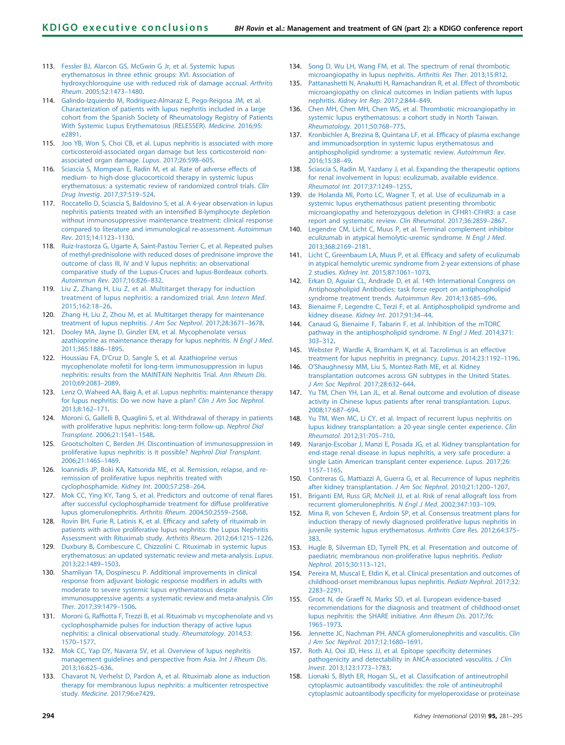- <span id="page-13-0"></span>113. [Fessler BJ, Alarcon GS, McGwin G Jr, et al. Systemic lupus](http://refhub.elsevier.com/S0085-2538(18)30811-1/sref114) [erythematosus in three ethnic groups: XVI. Association of](http://refhub.elsevier.com/S0085-2538(18)30811-1/sref114) [hydroxychloroquine use with reduced risk of damage accrual.](http://refhub.elsevier.com/S0085-2538(18)30811-1/sref114) Arthritis Rheum[. 2005;52:1473](http://refhub.elsevier.com/S0085-2538(18)30811-1/sref114)–1480.
- 114. [Galindo-Izquierdo M, Rodriguez-Almaraz E, Pego-Reigosa JM, et al.](http://refhub.elsevier.com/S0085-2538(18)30811-1/sref115) [Characterization of patients with lupus nephritis included in a large](http://refhub.elsevier.com/S0085-2538(18)30811-1/sref115) [cohort from the Spanish Society of Rheumatology Registry of Patients](http://refhub.elsevier.com/S0085-2538(18)30811-1/sref115) [With Systemic Lupus Erythematosus \(RELESSER\).](http://refhub.elsevier.com/S0085-2538(18)30811-1/sref115) Medicine. 2016;95: [e2891.](http://refhub.elsevier.com/S0085-2538(18)30811-1/sref115)
- 115. [Joo YB, Won S, Choi CB, et al. Lupus nephritis is associated with more](http://refhub.elsevier.com/S0085-2538(18)30811-1/sref116) [corticosteroid-associated organ damage but less corticosteroid non](http://refhub.elsevier.com/S0085-2538(18)30811-1/sref116)[associated organ damage.](http://refhub.elsevier.com/S0085-2538(18)30811-1/sref116) Lupus. 2017;26:598–605.
- 116. [Sciascia S, Mompean E, Radin M, et al. Rate of adverse effects of](http://refhub.elsevier.com/S0085-2538(18)30811-1/sref117) [medium- to high-dose glucocorticoid therapy in systemic lupus](http://refhub.elsevier.com/S0085-2538(18)30811-1/sref117) [erythematosus: a systematic review of randomized control trials.](http://refhub.elsevier.com/S0085-2538(18)30811-1/sref117) Clin Drug Investig[. 2017;37:519](http://refhub.elsevier.com/S0085-2538(18)30811-1/sref117)–524.
- 117. [Roccatello D, Sciascia S, Baldovino S, et al. A 4-year observation in lupus](http://refhub.elsevier.com/S0085-2538(18)30811-1/sref118) [nephritis patients treated with an intensi](http://refhub.elsevier.com/S0085-2538(18)30811-1/sref118)fied B-lymphocyte depletion [without immunosuppressive maintenance treatment: clinical response](http://refhub.elsevier.com/S0085-2538(18)30811-1/sref118) [compared to literature and immunological re-assessment.](http://refhub.elsevier.com/S0085-2538(18)30811-1/sref118) Autoimmun Rev[. 2015;14:1123](http://refhub.elsevier.com/S0085-2538(18)30811-1/sref118)–1130.
- 118. [Ruiz-Irastorza G, Ugarte A, Saint-Pastou Terrier C, et al. Repeated pulses](http://refhub.elsevier.com/S0085-2538(18)30811-1/sref119) [of methyl-prednisolone with reduced doses of prednisone improve the](http://refhub.elsevier.com/S0085-2538(18)30811-1/sref119) [outcome of class III, IV and V lupus nephritis: an observational](http://refhub.elsevier.com/S0085-2538(18)30811-1/sref119) [comparative study of the Lupus-Cruces and lupus-Bordeaux cohorts.](http://refhub.elsevier.com/S0085-2538(18)30811-1/sref119) [Autoimmun Rev](http://refhub.elsevier.com/S0085-2538(18)30811-1/sref119). 2017;16:826–832.
- 119. [Liu Z, Zhang H, Liu Z, et al. Multitarget therapy for induction](http://refhub.elsevier.com/S0085-2538(18)30811-1/sref120) [treatment of lupus nephritis: a randomized trial.](http://refhub.elsevier.com/S0085-2538(18)30811-1/sref120) Ann Intern Med. [2015;162:18](http://refhub.elsevier.com/S0085-2538(18)30811-1/sref120)–26.
- 120. [Zhang H, Liu Z, Zhou M, et al. Multitarget therapy for maintenance](http://refhub.elsevier.com/S0085-2538(18)30811-1/sref121) [treatment of lupus nephritis.](http://refhub.elsevier.com/S0085-2538(18)30811-1/sref121) J Am Soc Nephrol. 2017;28:3671–3678.
- 121. [Dooley MA, Jayne D, Ginzler EM, et al. Mycophenolate versus](http://refhub.elsevier.com/S0085-2538(18)30811-1/sref122) [azathioprine as maintenance therapy for lupus nephritis.](http://refhub.elsevier.com/S0085-2538(18)30811-1/sref122) N Engl J Med. [2011;365:1886](http://refhub.elsevier.com/S0085-2538(18)30811-1/sref122)–1895.
- 122. Houssiau FA, D'[Cruz D, Sangle S, et al. Azathioprine versus](http://refhub.elsevier.com/S0085-2538(18)30811-1/sref123) [mycophenolate mofetil for long-term immunosuppression in lupus](http://refhub.elsevier.com/S0085-2538(18)30811-1/sref123) [nephritis: results from the MAINTAIN Nephritis Trial.](http://refhub.elsevier.com/S0085-2538(18)30811-1/sref123) Ann Rheum Dis. [2010;69:2083](http://refhub.elsevier.com/S0085-2538(18)30811-1/sref123)–2089.
- 123. [Lenz O, Waheed AA, Baig A, et al. Lupus nephritis: maintenance therapy](http://refhub.elsevier.com/S0085-2538(18)30811-1/sref124) [for lupus nephritis: Do we now have a plan?](http://refhub.elsevier.com/S0085-2538(18)30811-1/sref124) Clin J Am Soc Nephrol. [2013;8:162](http://refhub.elsevier.com/S0085-2538(18)30811-1/sref124)–171.
- 124. [Moroni G, Gallelli B, Quaglini S, et al. Withdrawal of therapy in patients](http://refhub.elsevier.com/S0085-2538(18)30811-1/sref125) [with proliferative lupus nephritis: long-term follow-up.](http://refhub.elsevier.com/S0085-2538(18)30811-1/sref125) Nephrol Dial Transplant[. 2006;21:1541](http://refhub.elsevier.com/S0085-2538(18)30811-1/sref125)–1548.
- 125. [Grootscholten C, Berden JH. Discontinuation of immunosuppression in](http://refhub.elsevier.com/S0085-2538(18)30811-1/sref126) [proliferative lupus nephritis: is it possible?](http://refhub.elsevier.com/S0085-2538(18)30811-1/sref126) Nephrol Dial Transplant. [2006;21:1465](http://refhub.elsevier.com/S0085-2538(18)30811-1/sref126)–1469.
- 126. [Ioannidis JP, Boki KA, Katsorida ME, et al. Remission, relapse, and re](http://refhub.elsevier.com/S0085-2538(18)30811-1/sref127)[remission of proliferative lupus nephritis treated with](http://refhub.elsevier.com/S0085-2538(18)30811-1/sref127) [cyclophosphamide.](http://refhub.elsevier.com/S0085-2538(18)30811-1/sref127) Kidney Int. 2000;57:258–264.
- 127. [Mok CC, Ying KY, Tang S, et al. Predictors and outcome of renal](http://refhub.elsevier.com/S0085-2538(18)30811-1/sref128) flares [after successful cyclophosphamide treatment for diffuse proliferative](http://refhub.elsevier.com/S0085-2538(18)30811-1/sref128) [lupus glomerulonephritis.](http://refhub.elsevier.com/S0085-2538(18)30811-1/sref128) Arthritis Rheum. 2004;50:2559–2568.
- [Rovin BH, Furie R, Latinis K, et al. Ef](http://refhub.elsevier.com/S0085-2538(18)30811-1/sref129)ficacy and safety of rituximab in [patients with active proliferative lupus nephritis: the Lupus Nephritis](http://refhub.elsevier.com/S0085-2538(18)30811-1/sref129) [Assessment with Rituximab study.](http://refhub.elsevier.com/S0085-2538(18)30811-1/sref129) Arthritis Rheum. 2012;64:1215–1226.
- 129. [Duxbury B, Combescure C, Chizzolini C. Rituximab in systemic lupus](http://refhub.elsevier.com/S0085-2538(18)30811-1/sref130) [erythematosus: an updated systematic review and meta-analysis.](http://refhub.elsevier.com/S0085-2538(18)30811-1/sref130) Lupus. [2013;22:1489](http://refhub.elsevier.com/S0085-2538(18)30811-1/sref130)–1503.
- 130. [Shamliyan TA, Dospinescu P. Additional improvements in clinical](http://refhub.elsevier.com/S0085-2538(18)30811-1/sref131) [response from adjuvant biologic response modi](http://refhub.elsevier.com/S0085-2538(18)30811-1/sref131)fiers in adults with [moderate to severe systemic lupus erythematosus despite](http://refhub.elsevier.com/S0085-2538(18)30811-1/sref131) [immunosuppressive agents: a systematic review and meta-analysis.](http://refhub.elsevier.com/S0085-2538(18)30811-1/sref131) Clin Ther[. 2017;39:1479](http://refhub.elsevier.com/S0085-2538(18)30811-1/sref131)–1506.
- 131. Moroni G, Raffi[otta F, Trezzi B, et al. Rituximab vs mycophenolate and vs](http://refhub.elsevier.com/S0085-2538(18)30811-1/sref132) [cyclophosphamide pulses for induction therapy of active lupus](http://refhub.elsevier.com/S0085-2538(18)30811-1/sref132) [nephritis: a clinical observational study.](http://refhub.elsevier.com/S0085-2538(18)30811-1/sref132) Rheumatology. 2014;53: 1570–[1577.](http://refhub.elsevier.com/S0085-2538(18)30811-1/sref132)
- 132. [Mok CC, Yap DY, Navarra SV, et al. Overview of lupus nephritis](http://refhub.elsevier.com/S0085-2538(18)30811-1/sref133) [management guidelines and perspective from Asia.](http://refhub.elsevier.com/S0085-2538(18)30811-1/sref133) Int J Rheum Dis. [2013;16:625](http://refhub.elsevier.com/S0085-2538(18)30811-1/sref133)–636.
- 133. [Chavarot N, Verhelst D, Pardon A, et al. Rituximab alone as induction](http://refhub.elsevier.com/S0085-2538(18)30811-1/sref134) [therapy for membranous lupus nephritis: a multicenter retrospective](http://refhub.elsevier.com/S0085-2538(18)30811-1/sref134) study. Medicine[. 2017;96:e7429](http://refhub.elsevier.com/S0085-2538(18)30811-1/sref134).
- 134. [Song D, Wu LH, Wang FM, et al. The spectrum of renal thrombotic](http://refhub.elsevier.com/S0085-2538(18)30811-1/sref135) [microangiopathy in lupus nephritis.](http://refhub.elsevier.com/S0085-2538(18)30811-1/sref135) Arthritis Res Ther. 2013;15:R12.
- 135. [Pattanashetti N, Anakutti H, Ramachandran R, et al. Effect of thrombotic](http://refhub.elsevier.com/S0085-2538(18)30811-1/sref136) [microangiopathy on clinical outcomes in Indian patients with lupus](http://refhub.elsevier.com/S0085-2538(18)30811-1/sref136) nephritis. [Kidney Int Rep](http://refhub.elsevier.com/S0085-2538(18)30811-1/sref136). 2017;2:844–849.
- 136. [Chen MH, Chen MH, Chen WS, et al. Thrombotic microangiopathy in](http://refhub.elsevier.com/S0085-2538(18)30811-1/sref137) [systemic lupus erythematosus: a cohort study in North Taiwan.](http://refhub.elsevier.com/S0085-2538(18)30811-1/sref137) [Rheumatology](http://refhub.elsevier.com/S0085-2538(18)30811-1/sref137). 2011;50:768–775.
- 137. [Kronbichler A, Brezina B, Quintana LF, et al. Ef](http://refhub.elsevier.com/S0085-2538(18)30811-1/sref138)ficacy of plasma exchange [and immunoadsorption in systemic lupus erythematosus and](http://refhub.elsevier.com/S0085-2538(18)30811-1/sref138) [antiphospholipid syndrome: a systematic review.](http://refhub.elsevier.com/S0085-2538(18)30811-1/sref138) Autoimmun Rev. [2016;15:38](http://refhub.elsevier.com/S0085-2538(18)30811-1/sref138)–49.
- 138. [Sciascia S, Radin M, Yazdany J, et al. Expanding the therapeutic options](http://refhub.elsevier.com/S0085-2538(18)30811-1/sref139) [for renal involvement in lupus: eculizumab, available evidence.](http://refhub.elsevier.com/S0085-2538(18)30811-1/sref139) Rheumatol Int[. 2017;37:1249](http://refhub.elsevier.com/S0085-2538(18)30811-1/sref139)–1255.
- 139. [de Holanda MI, Porto LC, Wagner T, et al. Use of eculizumab in a](http://refhub.elsevier.com/S0085-2538(18)30811-1/sref140) [systemic lupus erythemathosus patient presenting thrombotic](http://refhub.elsevier.com/S0085-2538(18)30811-1/sref140) [microangiopathy and heterozygous deletion in CFHR1-CFHR3: a case](http://refhub.elsevier.com/S0085-2538(18)30811-1/sref140) [report and systematic review.](http://refhub.elsevier.com/S0085-2538(18)30811-1/sref140) Clin Rheumatol. 2017;36:2859–2867.
- 140. [Legendre CM, Licht C, Muus P, et al. Terminal complement inhibitor](http://refhub.elsevier.com/S0085-2538(18)30811-1/sref141) [eculizumab in atypical hemolytic-uremic syndrome.](http://refhub.elsevier.com/S0085-2538(18)30811-1/sref141) N Engl J Med. [2013;368:2169](http://refhub.elsevier.com/S0085-2538(18)30811-1/sref141)–2181.
- 141. [Licht C, Greenbaum LA, Muus P, et al. Ef](http://refhub.elsevier.com/S0085-2538(18)30811-1/sref142)ficacy and safety of eculizumab [in atypical hemolytic uremic syndrome from 2-year extensions of phase](http://refhub.elsevier.com/S0085-2538(18)30811-1/sref142) 2 studies. Kidney Int[. 2015;87:1061](http://refhub.elsevier.com/S0085-2538(18)30811-1/sref142)–1073.
- 142. [Erkan D, Aguiar CL, Andrade D, et al. 14th International Congress on](http://refhub.elsevier.com/S0085-2538(18)30811-1/sref143) [Antiphospholipid Antibodies: task force report on antiphospholipid](http://refhub.elsevier.com/S0085-2538(18)30811-1/sref143) [syndrome treatment trends.](http://refhub.elsevier.com/S0085-2538(18)30811-1/sref143) Autoimmun Rev. 2014;13:685–696.
- 143. [Bienaime F, Legendre C, Terzi F, et al. Antiphospholipid syndrome and](http://refhub.elsevier.com/S0085-2538(18)30811-1/sref144) [kidney disease.](http://refhub.elsevier.com/S0085-2538(18)30811-1/sref144) Kidney Int. 2017;91:34–44.
- 144. [Canaud G, Bienaime F, Tabarin F, et al. Inhibition of the mTORC](http://refhub.elsevier.com/S0085-2538(18)30811-1/sref145) [pathway in the antiphospholipid syndrome.](http://refhub.elsevier.com/S0085-2538(18)30811-1/sref145) N Engl J Med. 2014;371: 303–[312.](http://refhub.elsevier.com/S0085-2538(18)30811-1/sref145)
- 145. [Webster P, Wardle A, Bramham K, et al. Tacrolimus is an effective](http://refhub.elsevier.com/S0085-2538(18)30811-1/sref146) [treatment for lupus nephritis in pregnancy.](http://refhub.elsevier.com/S0085-2538(18)30811-1/sref146) Lupus. 2014;23:1192–1196.
- 146. O'[Shaughnessy MM, Liu S, Montez-Rath ME, et al. Kidney](http://refhub.elsevier.com/S0085-2538(18)30811-1/sref147) [transplantation outcomes across GN subtypes in the United States.](http://refhub.elsevier.com/S0085-2538(18)30811-1/sref147) [J Am Soc Nephrol](http://refhub.elsevier.com/S0085-2538(18)30811-1/sref147). 2017;28:632–644.
- 147. [Yu TM, Chen YH, Lan JL, et al. Renal outcome and evolution of disease](http://refhub.elsevier.com/S0085-2538(18)30811-1/sref148) [activity in Chinese lupus patients after renal transplantation.](http://refhub.elsevier.com/S0085-2538(18)30811-1/sref148) Lupus. [2008;17:687](http://refhub.elsevier.com/S0085-2538(18)30811-1/sref148)–694.
- 148. [Yu TM, Wen MC, Li CY, et al. Impact of recurrent lupus nephritis on](http://refhub.elsevier.com/S0085-2538(18)30811-1/sref149) [lupus kidney transplantation: a 20-year single center experience.](http://refhub.elsevier.com/S0085-2538(18)30811-1/sref149) Clin Rheumatol[. 2012;31:705](http://refhub.elsevier.com/S0085-2538(18)30811-1/sref149)–710.
- 149. [Naranjo-Escobar J, Manzi E, Posada JG, et al. Kidney transplantation for](http://refhub.elsevier.com/S0085-2538(18)30811-1/sref150) [end-stage renal disease in lupus nephritis, a very safe procedure: a](http://refhub.elsevier.com/S0085-2538(18)30811-1/sref150) [single Latin American transplant center experience.](http://refhub.elsevier.com/S0085-2538(18)30811-1/sref150) Lupus. 2017;26: [1157](http://refhub.elsevier.com/S0085-2538(18)30811-1/sref150)–1165.
- 150. [Contreras G, Mattiazzi A, Guerra G, et al. Recurrence of lupus nephritis](http://refhub.elsevier.com/S0085-2538(18)30811-1/sref151) [after kidney transplantation.](http://refhub.elsevier.com/S0085-2538(18)30811-1/sref151) J Am Soc Nephrol. 2010;21:1200–1207.
- 151. [Briganti EM, Russ GR, McNeil JJ, et al. Risk of renal allograft loss from](http://refhub.elsevier.com/S0085-2538(18)30811-1/sref152) [recurrent glomerulonephritis.](http://refhub.elsevier.com/S0085-2538(18)30811-1/sref152) N Engl J Med. 2002;347:103–109.
- 152. [Mina R, von Scheven E, Ardoin SP, et al. Consensus treatment plans for](http://refhub.elsevier.com/S0085-2538(18)30811-1/sref153) [induction therapy of newly diagnosed proliferative lupus nephritis in](http://refhub.elsevier.com/S0085-2538(18)30811-1/sref153) [juvenile systemic lupus erythematosus.](http://refhub.elsevier.com/S0085-2538(18)30811-1/sref153) Arthritis Care Res. 2012;64:375– [383.](http://refhub.elsevier.com/S0085-2538(18)30811-1/sref153)
- 153. [Hugle B, Silverman ED, Tyrrell PN, et al. Presentation and outcome of](http://refhub.elsevier.com/S0085-2538(18)30811-1/sref154) [paediatric membranous non-proliferative lupus nephritis.](http://refhub.elsevier.com/S0085-2538(18)30811-1/sref154) Pediatr Nephrol[. 2015;30:113](http://refhub.elsevier.com/S0085-2538(18)30811-1/sref154)–121.
- 154. [Pereira M, Muscal E, Eldin K, et al. Clinical presentation and outcomes of](http://refhub.elsevier.com/S0085-2538(18)30811-1/sref155) [childhood-onset membranous lupus nephritis.](http://refhub.elsevier.com/S0085-2538(18)30811-1/sref155) Pediatr Nephrol. 2017;32: [2283](http://refhub.elsevier.com/S0085-2538(18)30811-1/sref155)–2291.
- 155. [Groot N, de Graeff N, Marks SD, et al. European evidence-based](http://refhub.elsevier.com/S0085-2538(18)30811-1/sref156) [recommendations for the diagnosis and treatment of childhood-onset](http://refhub.elsevier.com/S0085-2538(18)30811-1/sref156) [lupus nephritis: the SHARE initiative.](http://refhub.elsevier.com/S0085-2538(18)30811-1/sref156) Ann Rheum Dis. 2017;76: [1965](http://refhub.elsevier.com/S0085-2538(18)30811-1/sref156)–1973.
- 156. [Jennette JC, Nachman PH. ANCA glomerulonephritis and vasculitis.](http://refhub.elsevier.com/S0085-2538(18)30811-1/sref157) Clin [J Am Soc Nephrol](http://refhub.elsevier.com/S0085-2538(18)30811-1/sref157). 2017;12:1680–1691.
- 157. [Roth AJ, Ooi JD, Hess JJ, et al. Epitope speci](http://refhub.elsevier.com/S0085-2538(18)30811-1/sref158)ficity determines [pathogenicity and detectability in ANCA-associated vasculitis.](http://refhub.elsevier.com/S0085-2538(18)30811-1/sref158) J Clin Invest[. 2013;123:1773](http://refhub.elsevier.com/S0085-2538(18)30811-1/sref158)–1783.
- 158. [Lionaki S, Blyth ER, Hogan SL, et al. Classi](http://refhub.elsevier.com/S0085-2538(18)30811-1/sref159)fication of antineutrophil [cytoplasmic autoantibody vasculitides: the role of antineutrophil](http://refhub.elsevier.com/S0085-2538(18)30811-1/sref159) cytoplasmic autoantibody specifi[city for myeloperoxidase or proteinase](http://refhub.elsevier.com/S0085-2538(18)30811-1/sref159)